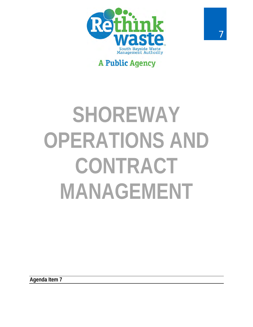

# **A Public Agency**

# **SHOREWAY OPERATIONS AND CONTRACT MANAGEMENT**

**Agenda Item 7**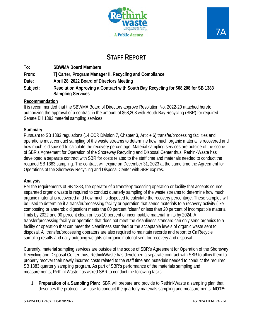

## **STAFF REPORT**

| To:      | <b>SBWMA Board Members</b>                                                                                    |
|----------|---------------------------------------------------------------------------------------------------------------|
| From:    | Tj Carter, Program Manager II, Recycling and Compliance                                                       |
| Date:    | April 28, 2022 Board of Directors Meeting                                                                     |
| Subject: | Resolution Approving a Contract with South Bay Recycling for \$68,208 for SB 1383<br><b>Sampling Services</b> |

#### **Recommendation**

It is recommended that the SBWMA Board of Directors approve Resolution No. 2022-20 attached hereto authorizing the approval of a contract in the amount of \$68,208 with South Bay Recycling (SBR) for required Senate Bill 1383 material sampling services.

#### **Summary**

Pursuant to SB 1383 regulations (14 CCR Division 7, Chapter 3, Article 6) transfer/processing facilities and operations must conduct sampling of the waste streams to determine how much organic material is recovered and how much is disposed to calculate the recovery percentage. Material sampling services are outside of the scope of SBR's Agreement for Operation of the Shoreway Recycling and Disposal Center thus, RethinkWaste has developed a separate contract with SBR for costs related to the staff time and materials needed to conduct the required SB 1383 sampling. The contract will expire on December 31, 2023 at the same time the Agreement for Operations of the Shoreway Recycling and Disposal Center with SBR expires.

#### **Analysis**

Per the requirements of SB 1383, the operator of a transfer/processing operation or facility that accepts source separated organic waste is required to conduct quarterly sampling of the waste streams to determine how much organic material is recovered and how much is disposed to calculate the recovery percentage. These samples will be used to determine if a transfer/processing facility or operation that sends materials to a recovery activity (like composting or anaerobic digestion) meets the 80 percent "clean" or less than 20 percent of incompatible material limits by 2022 and 90 percent clean or less 10 percent of incompatible material limits by 2024. A transfer/processing facility or operation that does not meet the cleanliness standard can only send organics to a facility or operation that can meet the cleanliness standard or the acceptable levels of organic waste sent to disposal. All transfer/processing operators are also required to maintain records and report to CalRecycle sampling results and daily outgoing weights of organic material sent for recovery and disposal.

Currently, material sampling services are outside of the scope of SBR's Agreement for Operation of the Shoreway Recycling and Disposal Center thus, RethinkWaste has developed a separate contract with SBR to allow them to properly recover their newly incurred costs related to the staff time and materials needed to conduct the required SB 1383 quarterly sampling program. As part of SBR's performance of the materials sampling and measurements, RethinkWaste has asked SBR to conduct the following tasks:

1. **Preparation of a Sampling Plan:** SBR will prepare and provide to RethinkWaste a sampling plan that describes the protocol it will use to conduct the quarterly materials sampling and measurements. **NOTE:**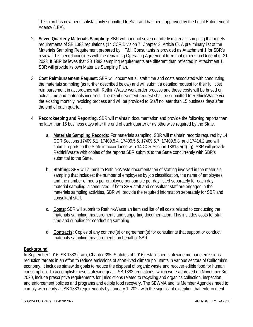This plan has now been satisfactorily submitted to Staff and has been approved by the Local Enforcement Agency (LEA).

- 2. **Seven Quarterly Materials Sampling:** SBR will conduct seven quarterly materials sampling that meets requirements of SB 1383 regulations (14 CCR Division 7, Chapter 3, Article 6). A preliminary list of the Materials Sampling Requirement prepared by HF&H Consultants is provided as Attachment 1 for SBR's review. This period coincides with the remaining Operating Agreement term that expires on December 31, 2023. If SBR believes that SB 1383 sampling requirements are different than reflected in Attachment 1, SBR will provide its own Materials Sampling Plan.
- 3. **Cost Reimbursement Request:** SBR will document all staff time and costs associated with conducting the materials sampling (as further described below) and will submit a detailed request for their full cost reimbursement in accordance with RethinkWaste work order process and these costs will be based on actual time and materials incurred. The reimbursement request shall be submitted to RethinkWaste via the existing monthly invoicing process and will be provided to Staff no later than 15 business days after the end of each quarter.
- 4. **Recordkeeping and Reporting.** SBR will maintain documentation and provide the following reports than no later than 15 business days after the end of each quarter or as otherwise required by the State:
	- a. **Materials Sampling Records:** For materials sampling, SBR will maintain records required by 14 CCR Sections 17409.5.1, 17409.5.4, 17409.5.5, 17409.5.7, 17409.5.8, and 17414.2 and will submit reports to the State in accordance with 14 CCR Section 18815.5(d)-(g). SBR will provide RethinkWaste with copies of the reports SBR submits to the State concurrently with SBR's submittal to the State.
	- b. **Staffing:** SBR will submit to RethinkWaste documentation of staffing involved in the materials sampling that includes: the number of employees by job classification, the name of employees, and the number of hours per employee per sample per day listed separately for each day material sampling is conducted. If both SBR staff and consultant staff are engaged in the materials sampling activities, SBR will provide the required information separately for SBR and consultant staff.
	- c. **Costs**: SBR will submit to RethinkWaste an itemized list of all costs related to conducting the materials sampling measurements and supporting documentation. This includes costs for staff time and supplies for conducting sampling.
	- d. **Contracts:** Copies of any contract(s) or agreement(s) for consultants that support or conduct materials sampling measurements on behalf of SBR.

#### **Background**

In September 2016, SB 1383 (Lara, Chapter 395, Statutes of 2016) established statewide methane emissions reduction targets in an effort to reduce emissions of short-lived climate pollutants in various sectors of California's economy. It includes statewide goals to reduce the disposal of organic waste and recover edible food for human consumption. To accomplish these statewide goals, SB 1383 regulations, which were approved on November 3rd, 2020, include prescriptive requirements for jurisdictions related to recycling and organics collection, inspection, and enforcement policies and programs and edible food recovery. The SBWMA and its Member Agencies need to comply with nearly all SB 1383 requirements by January 1, 2022 with the significant exception that enforcement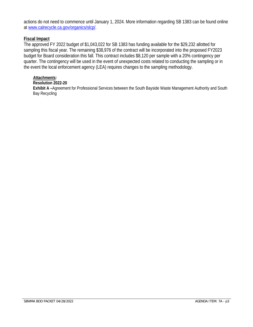actions do not need to commence until January 1, 2024. More information regarding SB 1383 can be found online at [www.calrecycle.ca.gov/organics/slcp/.](http://www.calrecycle.ca.gov/organics/slcp/)

#### **Fiscal Impact**

The approved FY 2022 budget of \$1,043,022 for SB 1383 has funding available for the \$29,232 allotted for sampling this fiscal year. The remaining \$38,976 of the contract will be incorporated into the proposed FY2023 budget for Board consideration this fall. This contract includes \$8,120 per sample with a 20% contingency per quarter. The contingency will be used in the event of unexpected costs related to conducting the sampling or in the event the local enforcement agency (LEA) requires changes to the sampling methodology.

#### *Attachments:*

#### **Resolution 2022-20**

**Exhibit A –**Agreement for Professional Services between the South Bayside Waste Management Authority and South Bay Recycling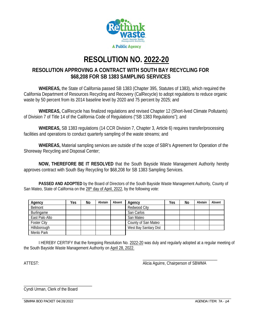

# **RESOLUTION NO. 2022-20**

## **RESOLUTION APPROVING A CONTRACT WITH SOUTH BAY RECYCLING FOR \$68,208 FOR SB 1383 SAMPLING SERVICES**

**WHEREAS,** the State of California passed SB 1383 (Chapter 395, Statutes of 1383), which required the California Department of Resources Recycling and Recovery (CalRecycle) to adopt regulations to reduce organic waste by 50 percent from its 2014 baseline level by 2020 and 75 percent by 2025; and

**WHEREAS,** CalRecycle has finalized regulations and revised Chapter 12 (Short-lived Climate Pollutants) of Division 7 of Title 14 of the California Code of Regulations ("SB 1383 Regulations"); and

**WHEREAS,** SB 1383 regulations (14 CCR Division 7, Chapter 3, Article 6) requires transfer/processing facilities and operations to conduct quarterly sampling of the waste streams; and

**WHEREAS,** Material sampling services are outside of the scope of SBR's Agreement for Operation of the Shoreway Recycling and Disposal Center;

**NOW, THEREFORE BE IT RESOLVED** that the South Bayside Waste Management Authority hereby approves contract with South Bay Recycling for \$68,208 for SB 1383 Sampling Services.

**PASSED AND ADOPTED** by the Board of Directors of the South Bayside Waste Management Authority, County of San Mateo, State of California on the 28<sup>th</sup> day of April, 2022, by the following vote:

| Agency             | Yes | No | Abstain | Absent | Agency                 | Yes | No | Abstain | Absent |
|--------------------|-----|----|---------|--------|------------------------|-----|----|---------|--------|
| Belmont            |     |    |         |        | Redwood City           |     |    |         |        |
| Burlingame         |     |    |         |        | San Carlos             |     |    |         |        |
| East Palo Alto     |     |    |         |        | San Mateo              |     |    |         |        |
| <b>Foster City</b> |     |    |         |        | County of San Mateo    |     |    |         |        |
| Hillsborough       |     |    |         |        | West Bay Sanitary Dist |     |    |         |        |
| Menlo Park         |     |    |         |        |                        |     |    |         |        |

I HEREBY CERTIFY that the foregoing Resolution No. 2022-20 was duly and regularly adopted at a regular meeting of the South Bayside Waste Management Authority on April 28, 2022.

\_\_\_\_\_\_\_\_\_\_\_\_\_\_\_\_\_\_\_\_\_\_\_\_\_\_\_\_\_\_\_\_\_\_\_\_ ATTEST: AND ALICIA Aguirre, Chairperson of SBWMA

\_\_\_\_\_\_\_\_\_\_\_\_\_\_\_\_\_\_\_\_\_\_\_\_\_\_\_\_\_\_\_\_\_ Cyndi Urman, Clerk of the Board

SBWMA BOD PACKET 04/28/2022 **AGENDA ITEM: 7A - p4**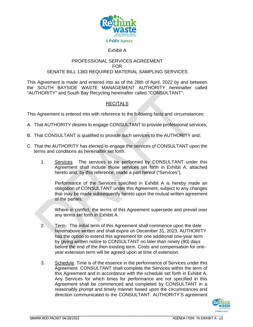

#### Exhibit A

#### PROFESSIONAL SERVICES AGREEMENT FOR SENATE BILL 1383 REQUIRED MATERIAL SAMPLING SERVICES

This Agreement is made and entered into as of the 28th of April, 2022 by and between the SOUTH BAYSIDE WASTE MANAGEMENT AUTHORITY hereinafter called "AUTHORITY" and South Bay Recycling hereinafter called "CONSULTANT".

#### **RECITALS**

This Agreement is entered into with reference to the following facts and circumstances:

- A. That AUTHORITY desires to engage CONSULTANT to provide professional services;
- B. That CONSULTANT is qualified to provide such services to the AUTHORITY and;
- C. That the AUTHORITY has elected to engage the services of CONSULTANT upon the terms and conditions as hereinafter set forth.
	- 1. Services. The services to be performed by CONSULTANT under this Agreement shall include those services set forth in Exhibit A, attached hereto and, by this reference, made a part hereof ("Services").

Performance of the Services specified in Exhibit A is hereby made an obligation of CONSULTANT under this Agreement, subject to any changes that may be made subsequently hereto upon the mutual written agreement of the parties.

Where in conflict, the terms of this Agreement supersede and prevail over any terms set forth in Exhibit A.

- 2. Term. The initial term of this Agreement shall commence upon the date hereinabove written and shall expire on December 31, 2023. AUTHORITY has the option to extend this agreement for one additional one-year term by giving written notice to CONSULTANT no later than ninety (90) days before the end of the then existing term. Costs and compensation for oneyear extension term will be agreed upon at time of extension.
- 3. Schedule. Time is of the essence in the performance of Services under this Agreement. CONSULTANT shall complete the Services within the term of this Agreement and in accordance with the schedule set forth in Exhibit A. Any Services for which times for performance are not specified in this Agreement shall be commenced and completed by CONSULTANT in a reasonably prompt and timely manner based upon the circumstances and direction communicated to the CONSULTANT. AUTHORITY'S agreement

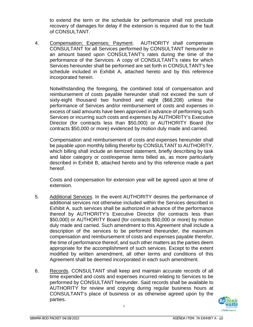to extend the term or the schedule for performance shall not preclude recovery of damages for delay if the extension is required due to the fault of CONSULTANT.

4. Compensation; Expenses; Payment. AUTHORITY shall compensate CONSULTANT for all Services performed by CONSULTANT hereunder in an amount based upon CONSULTANT's rates during the time of the performance of the Services. A copy of CONSULTANT's rates for which Services hereunder shall be performed are set forth in CONSULTANT's fee schedule included in Exhibit A, attached hereto and by this reference incorporated herein.

Notwithstanding the foregoing, the combined total of compensation and reimbursement of costs payable hereunder shall not exceed the sum of sixty-eight thousand two hundred and eight (\$68,208) unless the performance of Services and/or reimbursement of costs and expenses in excess of said amounts have been approved in advance of performing such Services or incurring such costs and expenses by AUTHORITY's Executive Director (for contracts less than \$50,000) or AUTHORITY Board (for contracts \$50,000 or more) evidenced by motion duly made and carried.

Compensation and reimbursement of costs and expenses hereunder shall be payable upon monthly billing therefor by CONSULTANT to AUTHORITY, which billing shall include an itemized statement, briefly describing by task and labor category or cost/expense items billed as, as more particularly described in Exhibit B, attached hereto and by this reference made a part hereof.

Costs and compensation for extension year will be agreed upon at time of extension.

- 5. Additional Services. In the event AUTHORITY desires the performance of additional services not otherwise included within the Services described in Exhibit A, such services shall be authorized in advance of the performance thereof by AUTHORITY's Executive Director (for contracts less than \$50,000) or AUTHORITY Board (for contracts \$50,000 or more) by motion duly made and carried. Such amendment to this Agreement shall include a description of the services to be performed thereunder, the maximum compensation and reimbursement of costs and expenses payable therefor, the time of performance thereof, and such other matters as the parties deem appropriate for the accomplishment of such services. Except to the extent modified by written amendment, all other terms and conditions of this Agreement shall be deemed incorporated in each such amendment.
- 6. Records. CONSULTANT shall keep and maintain accurate records of all time expended and costs and expenses incurred relating to Services to be performed by CONSULTANT hereunder. Said records shall be available to AUTHORITY for review and copying during regular business hours at CONSULTANT's place of business or as otherwise agreed upon by the parties.



\_\_\_\_\_\_\_\_\_\_\_\_\_\_\_\_\_\_\_\_\_\_\_\_\_\_\_\_\_\_\_\_\_\_\_\_\_\_\_\_\_\_\_\_\_\_\_\_\_\_\_\_\_\_\_\_\_\_\_\_\_\_\_\_\_\_\_\_\_\_\_\_\_\_\_\_\_\_\_\_\_\_\_\_\_\_\_\_\_\_\_\_\_\_\_\_\_\_\_\_\_\_\_

\_\_\_\_\_\_\_\_\_\_\_\_\_\_\_\_\_\_\_\_\_\_\_\_\_\_\_\_\_\_\_\_\_\_\_\_\_\_\_\_\_\_\_\_\_\_\_\_\_\_\_\_\_\_\_\_\_\_\_\_\_\_\_\_\_\_\_\_\_\_\_\_\_\_\_\_\_\_\_\_\_\_\_\_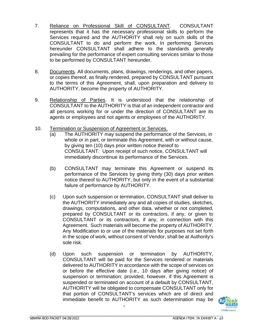- 7. Reliance on Professional Skill of CONSULTANT. CONSULTANT represents that it has the necessary professional skills to perform the Services required and the AUTHORITY shall rely on such skills of the CONSULTANT to do and perform the work. In performing Services hereunder CONSULTANT shall adhere to the standards generally prevailing for the performance of expert consulting services similar to those to be performed by CONSULTANT hereunder.
- 8. Documents. All documents, plans, drawings, renderings, and other papers, or copies thereof, as finally rendered, prepared by CONSULTANT pursuant to the terms of this Agreement, shall, upon preparation and delivery to AUTHORITY, become the property of AUTHORITY.
- 9. Relationship of Parties. It is understood that the relationship of CONSULTANT to the AUTHORITY is that of an independent contractor and all persons working for or under the direction of CONSULTANT are its agents or employees and not agents or employees of the AUTHORITY.
- 10. Termination or Suspension of Agreement or Services.
	- (a) The AUTHORITY may suspend the performance of the Services, in whole or in part, or terminate this Agreement, with or without cause, by giving ten (10) days prior written notice thereof to CONSULTANT. Upon receipt of such notice, CONSULTANT will immediately discontinue its performance of the Services.
	- (b) CONSULTANT may terminate this Agreement or suspend its performance of the Services by giving thirty (30) days prior written notice thereof to AUTHORITY, but only in the event of a substantial failure of performance by AUTHORITY.
	- (c) Upon such suspension or termination, CONSULTANT shall deliver to the AUTHORITY immediately any and all copies of studies, sketches, drawings, computations, and other data, whether or not completed, prepared by CONSULTANT or its contractors, if any, or given to CONSULTANT or its contractors, if any, in connection with this Agreement. Such materials will become the property of AUTHORITY. Any Modification to or use of the materials for purposes not set forth in the scope of work, without consent of Vendor, shall be at Authority's sole risk.
	- (d) Upon such suspension or termination by AUTHORITY, CONSULTANT will be paid for the Services rendered or materials delivered to AUTHORITY in accordance with the scope of services on or before the effective date (i.e., 10 days after giving notice) of suspension or termination; provided, however, if this Agreement is suspended or terminated on account of a default by CONSULTANT, AUTHORITY will be obligated to compensate CONSULTANT only for that portion of CONSULTANT's services which are of direct and immediate benefit to AUTHORITY as such determination may be

3

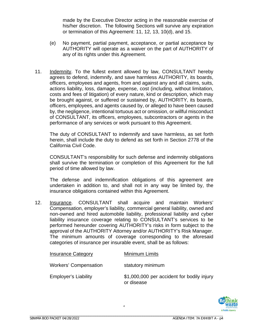made by the Executive Director acting in the reasonable exercise of his/her discretion. The following Sections will survive any expiration or termination of this Agreement: 11, 12, 13, 10(d), and 15.

- (e) No payment, partial payment, acceptance, or partial acceptance by AUTHORITY will operate as a waiver on the part of AUTHORITY of any of its rights under this Agreement.
- 11. Indemnity. To the fullest extent allowed by law, CONSULTANT hereby agrees to defend, indemnify, and save harmless AUTHORITY, its boards, officers, employees and agents, from and against any and all claims, suits, actions liability, loss, damage, expense, cost (including, without limitation, costs and fees of litigation) of every nature, kind or description, which may be brought against, or suffered or sustained by, AUTHORITY, its boards, officers, employees, and agents caused by, or alleged to have been caused by, the negligence, intentional tortuous act or omission, or willful misconduct of CONSULTANT, its officers, employees, subcontractors or agents in the performance of any services or work pursuant to this Agreement.

The duty of CONSULTANT to indemnify and save harmless, as set forth herein, shall include the duty to defend as set forth in Section 2778 of the California Civil Code.

CONSULTANT's responsibility for such defense and indemnity obligations shall survive the termination or completion of this Agreement for the full period of time allowed by law.

The defense and indemnification obligations of this agreement are undertaken in addition to, and shall not in any way be limited by, the insurance obligations contained within this Agreement.

12. Insurance. CONSULTANT shall acquire and maintain Workers' Compensation, employer's liability, commercial general liability, owned and non-owned and hired automobile liability, professional liability and cyber liability insurance coverage relating to CONSULTANT's services to be performed hereunder covering AUTHORITY's risks in form subject to the approval of the AUTHORITY Attorney and/or AUTHORITY's Risk Manager. The minimum amounts of coverage corresponding to the aforesaid categories of insurance per insurable event, shall be as follows:

| <b>Insurance Category</b>    | Minimum Limits                                           |
|------------------------------|----------------------------------------------------------|
| <b>Workers' Compensation</b> | statutory minimum                                        |
| <b>Employer's Liability</b>  | \$1,000,000 per accident for bodily injury<br>or disease |

4

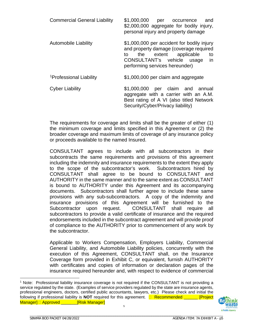| <b>Commercial General Liability</b> | \$1,000,000<br>per occurrence<br>and<br>\$2,000,000 aggregate for bodily injury,<br>personal injury and property damage                                                                                |
|-------------------------------------|--------------------------------------------------------------------------------------------------------------------------------------------------------------------------------------------------------|
| <b>Automobile Liability</b>         | \$1,000,000 per accident for bodily injury<br>and property damage (coverage required<br>the extent applicable<br>to<br>to<br>CONSULTANT's vehicle usage<br><i>in</i><br>performing services hereunder) |
| <sup>1</sup> Professional Liability | \$1,000,000 per claim and aggregate                                                                                                                                                                    |
| <b>Cyber Liability</b>              | \$1,000,000 per claim and annual<br>aggregate with a carrier with an A.M.<br>Best rating of A VI (also titled Network<br>Security/Cyber/Privacy liability)                                             |

The requirements for coverage and limits shall be the greater of either (1) the minimum coverage and limits specified in this Agreement or (2) the broader coverage and maximum limits of coverage of any insurance policy or proceeds available to the named Insured.

CONSULTANT agrees to include with all subcontractors in their subcontracts the same requirements and provisions of this agreement including the indemnity and insurance requirements to the extent they apply to the scope of the subcontractor's work. Subcontractors hired by CONSULTANT shall agree to be bound to CONSULTANT and AUTHORITY in the same manner and to the same extent as CONSULTANT is bound to AUTHORITY under this Agreement and its accompanying documents. Subcontractors shall further agree to include these same provisions with any sub-subcontractors. A copy of the indemnity and insurance provisions of this Agreement will be furnished to the Subcontractor upon request. CONSULTANT shall require all subcontractors to provide a valid certificate of insurance and the required endorsements included in the subcontract agreement and will provide proof of compliance to the AUTHORITY prior to commencement of any work by the subcontractor.

Applicable to Workers Compensation, Employers Liability, Commercial General Liability, and Automobile Liability policies, concurrently with the execution of this Agreement, CONSULTANT shall, on the Insurance Coverage form provided in Exhibit C, or equivalent, furnish AUTHORITY with certificates and copies of information or declaration pages of the insurance required hereunder and, with respect to evidence of commercial

<span id="page-9-0"></span><sup>1</sup> Note: Professional liability insurance coverage is not required if the CONSULTANT is not providing a service regulated by the state. (Examples of service providers regulated by the state are insurance agents, professional engineers, doctors, certified public accountants, lawyers, etc.) Please check and initial the following if professional liability is **NOT** required for this agreement. **E** Recommended \_\_\_\_\_\_ [Project Manager] □ Approved \_\_\_\_\_\_\_\_[Risk Manager]

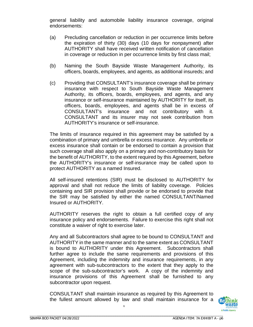general liability and automobile liability insurance coverage, original endorsements:

- (a) Precluding cancellation or reduction in per occurrence limits before the expiration of thirty (30) days (10 days for nonpayment) after AUTHORITY shall have received written notification of cancellation in coverage or reduction in per occurrence limits by first class mail;
- (b) Naming the South Bayside Waste Management Authority, its officers, boards, employees, and agents, as additional insureds; and
- (c) Providing that CONSULTANT's insurance coverage shall be primary insurance with respect to South Bayside Waste Management Authority, its officers, boards, employees, and agents, and any insurance or self-insurance maintained by AUTHORITY for itself, its officers, boards, employees, and agents shall be in excess of CONSULTANT's insurance and not contributory with it. CONSULTANT and its insurer may not seek contribution from AUTHORITY's insurance or self-insurance.

The limits of insurance required in this agreement may be satisfied by a combination of primary and umbrella or excess insurance. Any umbrella or excess insurance shall contain or be endorsed to contain a provision that such coverage shall also apply on a primary and non-contributory basis for the benefit of AUTHORITY, to the extent required by this Agreement, before the AUTHORITY's insurance or self-insurance may be called upon to protect AUTHORITY as a named Insured.

All self-insured retentions (SIR) must be disclosed to AUTHORITY for approval and shall not reduce the limits of liability coverage. Policies containing and SIR provision shall provide or be endorsed to provide that the SIR may be satisfied by either the named CONSULTANT/Named Insured or AUTHORITY.

AUTHORITY reserves the right to obtain a full certified copy of any insurance policy and endorsements. Failure to exercise this right shall not constitute a waiver of right to exercise later.

Any and all Subcontractors shall agree to be bound to CONSULTANT and AUTHORITY in the same manner and to the same extent as CONSULTANT is bound to AUTHORITY under this Agreement. Subcontractors shall further agree to include the same requirements and provisions of this Agreement, including the indemnity and insurance requirements, in any agreement with sub-subcontractors to the extent that they apply to the scope of the sub-subcontractor's work. A copy of the indemnity and insurance provisions of this Agreement shall be furnished to any subcontractor upon request.

CONSULTANT shall maintain insurance as required by this Agreement to the fullest amount allowed by law and shall maintain insurance for a

6

\_\_\_\_\_\_\_\_\_\_\_\_\_\_\_\_\_\_\_\_\_\_\_\_\_\_\_\_\_\_\_\_\_\_\_\_\_\_\_\_\_\_\_\_\_\_\_\_\_\_\_\_\_\_\_\_\_\_\_\_\_\_\_\_\_\_\_\_\_\_\_\_\_\_\_\_\_\_\_\_\_\_\_\_

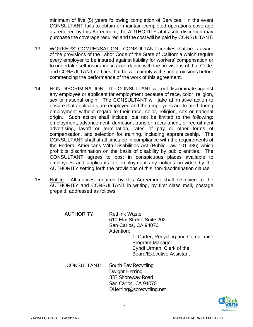minimum of five (5) years following completion of Services. In the event CONSULTANT fails to obtain or maintain completed operations coverage as required by this Agreement, the AUTHORITY at its sole discretion may purchase the coverage required and the cost will be paid by CONSULTANT.

- 13. WORKERS' COMPENSATION. CONSULTANT certifies that he is aware of the provisions of the Labor Code of the State of California which require every employer to be insured against liability for workers' compensation or to undertake self-insurance in accordance with the provisions of that Code, and CONSULTANT certifies that he will comply with such provisions before commencing the performance of the work of this agreement.
- 14. NON-DISCRIMINATION. The CONSULTANT will not discriminate against any employee or applicant for employment because of race, color, religion, sex or national origin. The CONSULTANT will take affirmative action to ensure that applicants are employed and the employees are treated during employment without regard to their race, color, religion, sex or national origin. Such action shall include, but not be limited to the following: employment, advancement, demotion, transfer, recruitment, or recruitment advertising, layoff or termination, rates of pay or other forms of compensation, and selection for training, including apprenticeship. The CONSULTANT shall at all times be in compliance with the requirements of the Federal Americans With Disabilities Act (Public Law 101-336) which prohibits discrimination on the basis of disability by public entities. The CONSULTANT agrees to post in conspicuous places available to employees and applicants for employment any notices provided by the AUTHORITY setting forth the provisions of this non-discrimination clause.
- 15. Notice. All notices required by this Agreement shall be given to the AUTHORITY and CONSULTANT in writing, by first class mail, postage prepaid, addressed as follows:

7

| <b>AUTHORITY:</b>  | <b>Rethink Waste</b><br>610 Elm Street, Suite 202<br>San Carlos, CA 94070<br>Attention:<br>Tj Carter, Recycling and Compliance<br>Program Manager<br>Cyndi Urman, Clerk of the<br><b>Board/Executive Assistant</b> |
|--------------------|--------------------------------------------------------------------------------------------------------------------------------------------------------------------------------------------------------------------|
| <b>CONSULTANT:</b> | South Bay Recycling<br>Dwight Herring<br>333 Shoreway Road                                                                                                                                                         |

San Carlos, CA 94070 DHerring@sbrecycling.net

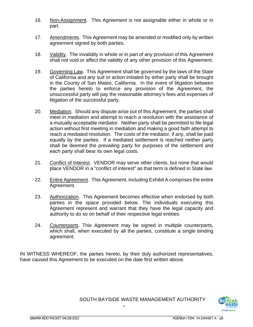- 16. Non-Assignment. This Agreement is not assignable either in whole or in part.
- 17. Amendments. This Agreement may be amended or modified only by written agreement signed by both parties.
- 18. Validity. The invalidity in whole or in part of any provision of this Agreement shall not void or affect the validity of any other provision of this Agreement.
- 19. Governing Law. This Agreement shall be governed by the laws of the State of California and any suit or action initiated by either party shall be brought in the County of San Mateo, California. In the event of litigation between the parties hereto to enforce any provision of the Agreement, the unsuccessful party will pay the reasonable attorney's fees and expenses of litigation of the successful party.
- 20. Mediation. Should any dispute arise out of this Agreement, the parties shall meet in mediation and attempt to reach a resolution with the assistance of a mutually acceptable mediator. Neither party shall be permitted to file legal action without first meeting in mediation and making a good faith attempt to reach a mediated resolution. The costs of the mediator, if any, shall be paid equally by the parties. If a mediated settlement is reached neither party shall be deemed the prevailing party for purposes of the settlement and each party shall bear its own legal costs.
- 21. Conflict of Interest. VENDOR may serve other clients, but none that would place VENDOR in a "conflict of interest" as that term is defined in State law.
- 22. Entire Agreement. This Agreement, including Exhibit A comprises the entire Agreement.
- 23. Authorization. This Agreement becomes effective when endorsed by both parties in the space provided below. The individuals executing this Agreement represent and warrant that they have the legal capacity and authority to do so on behalf of their respective legal entities.
- 24. Counterparts. This Agreement may be signed in multiple counterparts, which shall, when executed by all the parties, constitute a single binding agreement.

8

IN WITNESS WHEREOF, the parties hereto, by their duly authorized representatives, have caused this Agreement to be executed on the date first written above.



#### SOUTH BAYSIDE WASTE MANAGEMENT AUTHORITY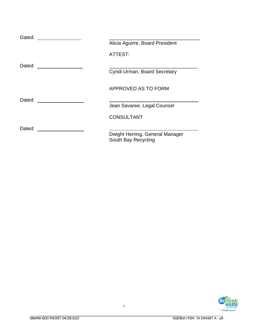| Dated: |                                                        |
|--------|--------------------------------------------------------|
|        | Alicia Aguirre, Board President                        |
|        | ATTEST:                                                |
| Dated: |                                                        |
|        | Cyndi Urman, Board Secretary                           |
|        | APPROVED AS TO FORM                                    |
| Dated: |                                                        |
|        | Jean Savaree, Legal Counsel                            |
|        | <b>CONSULTANT</b>                                      |
| Dated: |                                                        |
|        | Dwight Herring, General Manager<br>South Bay Recycling |

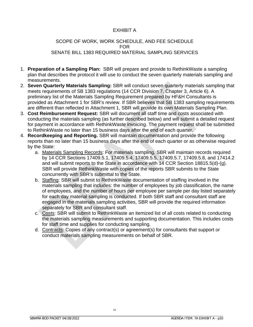#### EXHIBIT A

#### SCOPE OF WORK, WORK SCHEDULE, AND FEE SCHEDULE FOR SENATE BILL 1383 REQUIRED MATERIAL SAMPLING SERVICES

- 1. **Preparation of a Sampling Plan:** SBR will prepare and provide to RethinkWaste a sampling plan that describes the protocol it will use to conduct the seven quarterly materials sampling and measurements.
- 2. **Seven Quarterly Materials Sampling:** SBR will conduct seven quarterly materials sampling that meets requirements of SB 1383 regulations (14 CCR Division 7, Chapter 3, Article 6). A preliminary list of the Materials Sampling Requirement prepared by HF&H Consultants is provided as Attachment 1 for SBR's review. If SBR believes that SB 1383 sampling requirements are different than reflected in Attachment 1, SBR will provide its own Materials Sampling Plan.
- 3. **Cost Reimbursement Request:** SBR will document all staff time and costs associated with conducting the materials sampling (as further described below) and will submit a detailed request for payment in accordance with RethinkWaste invoicing. The payment request shall be submitted to RethinkWaste no later than 15 business days after the end of each quarter.
- 4. **Recordkeeping and Reporting.** SBR will maintain documentation and provide the following reports than no later than 15 business days after the end of each quarter or as otherwise required by the State:
	- a. Materials Sampling Records: For materials sampling, SBR will maintain records required by 14 CCR Sections 17409.5.1, 17409.5.4, 17409.5.5, 17409.5.7, 17409.5.8, and 17414.2 and will submit reports to the State in accordance with 14 CCR Section 18815.5(d)-(g). SBR will provide RethinkWaste with copies of the reports SBR submits to the State concurrently with SBR's submittal to the State.
	- b. Staffing: SBR will submit to RethinkWaste documentation of staffing involved in the materials sampling that includes: the number of employees by job classification, the name of employees, and the number of hours per employee per sample per day listed separately for each day material sampling is conducted. If both SBR staff and consultant staff are engaged in the materials sampling activities, SBR will provide the required information separately for SBR and consultant staff.
	- c. Costs: SBR will submit to RethinkWaste an itemized list of all costs related to conducting the materials sampling measurements and supporting documentation. This includes costs for staff time and supplies for conducting sampling.
	- d. Contracts: Copies of any contract(s) or agreement(s) for consultants that support or conduct materials sampling measurements on behalf of SBR.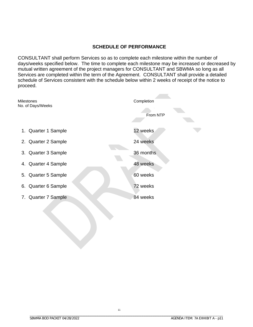#### **SCHEDULE OF PERFORMANCE**

CONSULTANT shall perform Services so as to complete each milestone within the number of days/weeks specified below. The time to complete each milestone may be increased or decreased by mutual written agreement of the project managers for CONSULTANT and SBWMA so long as all Services are completed within the term of the Agreement. CONSULTANT shall provide a detailed schedule of Services consistent with the schedule below within 2 weeks of receipt of the notice to proceed.

| No. of Days/Weeks                |  |
|----------------------------------|--|
| From NTP                         |  |
| 12 weeks<br>1. Quarter 1 Sample  |  |
| 24 weeks<br>2. Quarter 2 Sample  |  |
| 36 months<br>3. Quarter 3 Sample |  |
| 48 weeks<br>4. Quarter 4 Sample  |  |
| 60 weeks<br>5. Quarter 5 Sample  |  |
| 72 weeks<br>6. Quarter 6 Sample  |  |
| 84 weeks<br>7. Quarter 7 Sample  |  |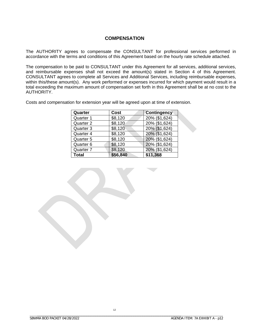#### **COMPENSATION**

The AUTHORITY agrees to compensate the CONSULTANT for professional services performed in accordance with the terms and conditions of this Agreement based on the hourly rate schedule attached.

The compensation to be paid to CONSULTANT under this Agreement for all services, additional services, and reimbursable expenses shall not exceed the amount(s) stated in Section 4 of this Agreement. CONSULTANT agrees to complete all Services and Additional Services, including reimbursable expenses, within this/these amount(s). Any work performed or expenses incurred for which payment would result in a total exceeding the maximum amount of compensation set forth in this Agreement shall be at no cost to the AUTHORITY.

Costs and compensation for extension year will be agreed upon at time of extension.

| Quarter   | Cost     | <b>Contingency</b> |
|-----------|----------|--------------------|
| Quarter 1 | \$8,120  | 20% (\$1,624)      |
| Quarter 2 | \$8,120  | 20% (\$1,624)      |
| Quarter 3 | \$8,120  | 20% (\$1,624)      |
| Quarter 4 | \$8,120  | 20% (\$1,624)      |
| Quarter 5 | \$8,120  | 20% (\$1,624)      |
| Quarter 6 | \$8,120  | 20% (\$1,624)      |
| Quarter 7 | \$8,120  | 20% (\$1,624)      |
| Total     | \$56,840 | \$11,368           |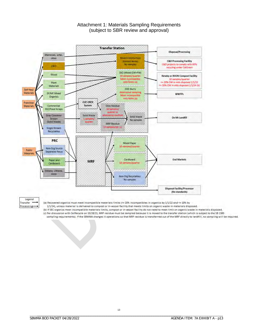

#### Attachment 1: Materials Sampling Requirements (subject to SBR review and approval)

#### Legend Transfer Processing---+

(a) Recovered organics must meet incompatible materials limits (<= 20% incompatibles in organics by 1/1/22 and <= 10% by

1/1/24), unless material is delivered to compost or in-vessel facility that meets limits on organic waste in materials disposed.

(b) If SEC organics meet incompatible materials limits, compost or in-vessel facility do not need to meet limit on organic waste in materials disposed. (c) Per discussion with CalRecycle on 10/28/21, MRF residue must be sampled because it is moved to the transfer station (which is subject to the SB 1383 sampling requirements). If the SBWMA changes it operations so that MRF residue is transferrred out of the MRF directly to landfill, no sampling will be required.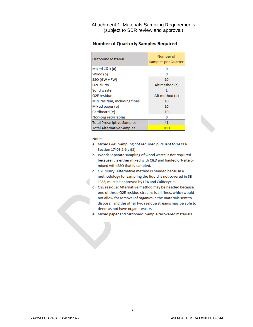Attachment 1: Materials Sampling Requirements (subject to SBR review and approval)

| <b>Outbound Material</b>          | Number of<br>Samples per Quarter |
|-----------------------------------|----------------------------------|
| Mixed C&D (a)                     | n                                |
| Wood (b)                          |                                  |
| SSO (GW + FW)                     | 10                               |
| O <sub>2</sub> E slurry           | Alt method (c)                   |
| Solid waste                       |                                  |
| O2E residue                       | Alt method (d)                   |
| MRF residue, including fines      | 10                               |
| Mixed paper (e)                   | 10                               |
| Cardboard (e)                     | 10                               |
| Non-org recyclables               | o                                |
| <b>Total Prescriptive Samples</b> | 41                               |
| <b>Total Alternative Samples</b>  | TBD                              |

#### **Number of Quarterly Samples Required**

**Notes** 

- a. Mixed C&D: Sampling not required pursuant to 14 CCR Section 17409.5.6(a)(2).
- b. Wood: Separate sampling of wood waste is not required because it is either mixed with C&D and hauled off-site or mixed with SSO that is sampled.
- c. O2E slurry: Alternative method is needed because a methodology for sampling the liquid is not covered in SB 1383; must be approved by LEA and CalRecycle.
- d. O2E residue: Alternative method may be needed because one of three O2E residue streams is all fines, which would not allow for removal of organics in the materials sent to disposal, and the other two residue streams may be able to deem as not have organic waste.
- e. Mixed paper and cardboard: Sample recovered materials.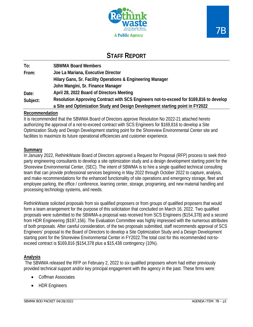



## **STAFF REPORT**

| To:      | <b>SBWMA Board Members</b>                                                              |  |  |  |  |  |
|----------|-----------------------------------------------------------------------------------------|--|--|--|--|--|
| From:    | Joe La Mariana, Executive Director                                                      |  |  |  |  |  |
|          | Hilary Gans, Sr. Facility Operations & Engineering Manager                              |  |  |  |  |  |
|          | John Mangini, Sr. Finance Manager                                                       |  |  |  |  |  |
| Date:    | April 28, 2022 Board of Directors Meeting                                               |  |  |  |  |  |
| Subject: | Resolution Approving Contract with SCS Engineers not-to-exceed for \$169,816 to develop |  |  |  |  |  |
|          | a Site and Optimization Study and Design Development starting point in FY2022           |  |  |  |  |  |

#### **Recommendation**

It is recommended that the SBWMA Board of Directors approve Resolution No 2022-21 attached hereto authorizing the approval of a not-to-exceed contract with SCS Engineers for \$169,816 to develop a Site Optimization Study and Design Development starting point for the Shoreview Environmental Center site and facilities to maximize its future operational efficiencies and customer experience.

#### **Summary**

In January 2022, RethinkWaste Board of Directors approved a Request for Proposal (RFP) process to seek thirdparty engineering consultants to develop a site optimization study and a design development starting point for the Shoreview Environmental Center, (SEC). The intent of SBWMA is to hire a single qualified technical consulting team that can provide professional services beginning in May 2022 through October 2022 to capture, analysis, and make recommendations for the enhanced functionality of site operations and emergency storage, fleet and employee parking, the office / conference, learning center, storage, programing, and new material handling and processing technology systems, and needs.

RethinkWaste solicited proposals from six qualified proposers or from groups of qualified proposers that would form a team arrangement for the purpose of this solicitation that concluded on March 16, 2022. Two qualified proposals were submitted to the SBWMA-a proposal was received from SCS Engineers (\$154,378) and a second from HDR Engineering (\$197,156). The Evaluation Committee was highly impressed with the numerous attributes of both proposals. After careful consideration, of the two proposals submitted, staff recommends approval of SCS Engineers' proposal to the Board of Directors to develop a Site Optimization Study and a Design Development starting point for the Shoreview Environmental Center in FY2022.The total cost for this recommended not-toexceed contract is \$169,816 (\$154,378 plus a \$15,438 contingency (10%).

#### **Analysis**

The SBWMA released the RFP on February 2, 2022 to six qualified proposers whom had either previously provided technical support and/or key principal engagement with the agency in the past. These firms were:

- Coffman Associates
- HDR Engineers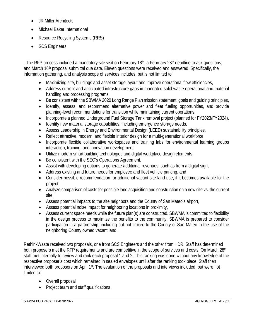- JR Miller Architects
- Michael Baker International
- Resource Recycling Systems (RRS)
- SCS Engineers

. The RFP process included a mandatory site visit on February 18<sup>th</sup>, a February 28<sup>th</sup> deadline to ask questions, and March 16<sup>th</sup> proposal submittal due date. Eleven questions were received and answered. Specifically, the information gathering, and analysis scope of services includes, but is not limited to:

- Maximizing site, buildings and asset storage layout and improve operational flow efficiencies,
- Address current and anticipated infrastructure gaps in mandated solid waste operational and material handling and processing programs,
- Be consistent with the SBWMA 2020 Long Range Plan mission statement, goals and guiding principles,
- Identify, assess, and recommend alternative power and fleet fueling opportunities, and provide planning-level recommendations for transition while maintaining current operations,
- Incorporate a planned Underground Fuel Storage Tank removal project (planned for FY2023/FY2024),
- Identify new material storage capabilities, including emergence storage needs.
- Assess Leadership in Energy and Environmental Design (LEED) sustainability principles,
- Reflect attractive, modern, and flexible interior design for a multi-generational workforce,
- Incorporate flexible collaborative workspaces and training labs for environmental learning groups interaction, training, and innovation development,
- Utilize modern smart building technologies and digital workplace design elements,
- Be consistent with the SEC's Operations Agreement,
- Assist with developing options to generate additional revenues, such as from a digital sign,
- Address existing and future needs for employee and fleet vehicle parking, and
- Consider possible recommendation for additional vacant site land use, if it becomes available for the project,
- Analyze comparison of costs for possible land acquisition and construction on a new site vs. the current site,
- Assess potential impacts to the site neighbors and the County of San Mateo's airport,
- Assess potential noise impact for neighboring locations in proximity,
- Assess current space needs while the future plan(s) are constructed. SBWMA is committed to flexibility in the design process to maximize the benefits to the community. SBWMA is prepared to consider participation in a partnership, including but not limited to the County of San Mateo in the use of the neighboring County owned vacant land.

RethinkWaste received two proposals, one from SCS Engineers and the other from HDR. Staff has determined both proposers met the RFP requirements and are competitive in the scope of services and costs. On March 28<sup>th</sup> staff met internally to review and rank each proposal 1 and 2. This ranking was done without any knowledge of the respective proposer's cost which remained in sealed envelopes until after the ranking took place. Staff then interviewed both proposers on April 1st. The evaluation of the proposals and interviews included, but were not limited to:

- Overall proposal
- Project team and staff qualifications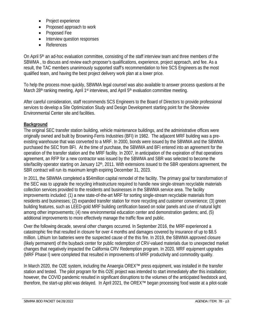- Project experience
- Proposed approach to work
- Proposed Fee
- Interview question responses
- References

On April 5<sup>th</sup> an ad-hoc evaluation committee, consisting of the staff interview team and three members of the SBWMA , to discuss and review each proposer's qualifications, experience, project approach, and fee. As a result, the TAC members unanimously supported staff's recommendation to hire SCS Engineers as the most qualified team, and having the best project delivery work plan at a lower price.

To help the process move quickly, SBWMA legal counsel was also available to answer process questions at the March 28<sup>th</sup> ranking meeting, April 1<sup>st</sup> interviews, and April 5<sup>th</sup> evaluation committee meeting.

After careful consideration, staff recommends SCS Engineers to the Board of Directors to provide professional services to develop a Site Optimization Study and Design Development starting point for the Shoreview Environmental Center site and facilities.

#### **Background**

The original SEC transfer station building, vehicle maintenance buildings, and the administrative offices were originally owned and built by Browning-Ferris Industries (BFI) in 1982. The adjacent MRF building was a preexisting warehouse that was converted to a MRF. In 2000, bonds were issued by the SBWMA and the SBWMA purchased the SEC from BFI. At the time of purchase, the SBWMA and BFI entered into an agreement for the operation of the transfer station and the MRF facility. In 2007, in anticipation of the expiration of that operations agreement, an RFP for a new contractor was issued by the SBWMA and SBR was selected to become the site/facility operator starting on January 12<sup>th</sup>, 2011. With extensions issued to the SBR operations agreement, the SBR contract will run its maximum length expiring December 31, 2023.

In 2011, the SBWMA completed a \$54million capital remodel of the facility. The primary goal for transformation of the SEC was to upgrade the recycling infrastructure required to handle new single-stream recyclable materials collection services provided to the residents and businesses in the SBWMA service area. The facility improvements included: (1) a new state-of-the-art MRF for sorting single-stream recyclable materials from residents and businesses; (2) expanded transfer station for more recycling and customer convenience; (3) green building features, such as LEED-gold MRF building certification based on solar panels and use of natural light among other improvements; (4) new environmental education center and demonstration gardens; and, (5) additional improvements to more effectively manage the traffic flow and public.

Over the following decade, several other changes occurred. In September 2016, the MRF experienced a catastrophic fire that resulted in closure for over 4 months and damages covered by insurance of up to \$8.5 million. Lithium Ion batteries were the suspected cause of the this fire. In 2019, the SBWMA approved closure (likely permanent) of the buyback center for public redemption of CRV-valued materials due to unexpected market changes that negatively impacted the California CRV Redemption program. In 2020, MRF equipment upgrades (MRF Phase I) were completed that resulted in improvements of MRF productivity and commodity quality.

In March 2020, the O2E system, including the Anaergia OREX*™* press equipment, was installed in the transfer station and tested. The pilot program for this O2E project was intended to start immediately after this installation; however, the COVID pandemic resulted in significant disruptions to the volumes of the anticipated feedstock and, therefore, the start-up pilot was delayed. In April 2021, the OREX*™* began processing food waste at a pilot-scale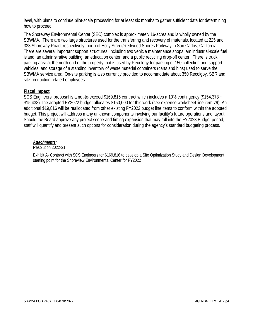level, with plans to continue pilot-scale processing for at least six months to gather sufficient data for determining how to proceed.

The Shoreway Environmental Center (SEC) complex is approximately 16-acres and is wholly owned by the SBWMA. There are two large structures used for the transferring and recovery of materials, located at 225 and 333 Shoreway Road, respectively, north of Holly Street/Redwood Shores Parkway in San Carlos, California. There are several important support structures, including two vehicle maintenance shops, am industrial-scale fuel island, an administrative building, an education center, and a public recycling drop-off center. There is truck parking area at the north end of the property that is used by Recology for parking of 150 collection and support vehicles, and storage of a standing inventory of waste material containers (carts and bins) used to serve the SBWMA service area. On-site parking is also currently provided to accommodate about 350 Recolgoy, SBR and site-production related employees.

#### **Fiscal Impact**

SCS Engineers' proposal is a not-to-exceed \$169,816 contract which includes a 10% contingency (\$154,378 + \$15,438) The adopted FY2022 budget allocates \$150,000 for this work (see expense worksheet line item 79). An additional \$19,816 will be reallocated from other existing FY2022 budget line items to conform within the adopted budget. This project will address many unknown components involving our facility's future operations and layout. Should the Board approve any project scope and timing expansion that may roll into the FY2023 Budget period, staff will quantify and present such options for consideration during the agency's standard budgeting process.

#### *Attachments:*

Resolution 2022-21

Exhibit A- Contract with SCS Engineers for \$169,816 to develop a Site Optimization Study and Design Development starting point for the Shoreview Environmental Center for FY2022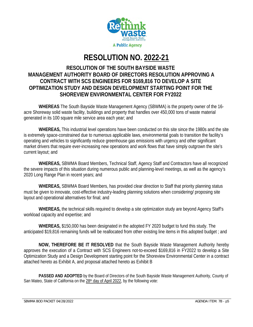

# **RESOLUTION NO. 2022-21**

## **RESOLUTION OF THE SOUTH BAYSIDE WASTE MANAGEMENT AUTHORITY BOARD OF DIRECTORS RESOLUTION APPROVING A CONTRACT WITH SCS ENGINEERS FOR \$169,816 TO DEVELOP A SITE OPTIMIZATION STUDY AND DESIGN DEVELOPMENT STARTING POINT FOR THE SHOREVIEW ENVIRONMENTAL CENTER FOR FY2022**

**WHEREAS** The South Bayside Waste Management Agency (SBWMA) is the property owner of the 16 acre Shoreway solid waste facility, buildings and property that handles over 450,000 tons of waste material generated in its 100 square mile service area each year; and

**WHEREAS,** This industrial level operations have been conducted on this site since the 1980s and the site is extremely space-constrained due to numerous applicable laws, environmental goals to transition the facility's operating and vehicles to significantly reduce greenhouse gas emissions with urgency and other significant market drivers that require ever-increasing new operations and work flows that have simply outgrown the site's current layout; and

**WHEREAS,** SBWMA Board Members, Technical Staff, Agency Staff and Contractors have all recognized the severe impacts of this situation during numerous public and planning-level meetings, as well as the agency's 2020 Long Range Plan in recent years; and

**WHEREAS,** SBWMA Board Members, has provided clear direction to Staff that priority planning status must be given to innovate, cost-effective industry-leading planning solutions when considering/ proposing site layout and operational alternatives for final; and

**WHEREAS,** the technical skills required to develop a site optimization study are beyond Agency Staff's workload capacity and expertise; and

**WHEREAS,** \$150,000 has been designated in the adopted FY 2020 budget to fund this study. The anticipated \$19,816 remaining funds will be reallocated from other existing line items in this adopted budget ; and

**NOW, THEREFORE BE IT RESOLVED** that the South Bayside Waste Management Authority hereby approves the execution of a Contract with SCS Engineers not-to-exceed \$169,816 in FY2022 to develop a Site Optimization Study and a Design Development starting point for the Shoreview Environmental Center in a contract attached hereto as Exhibit A, and proposal attached hereto as Exhibit B

**PASSED AND ADOPTED** by the Board of Directors of the South Bayside Waste Management Authority, County of San Mateo, State of California on the 28<sup>th</sup> day of April 2022, by the following vote: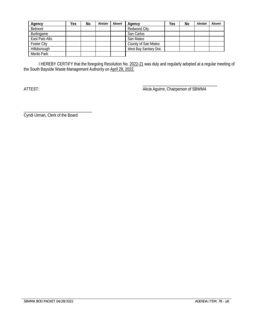| Agency             | Yes | No | Abstain | Absent | Agency                  | Yes | No | Abstain | Absent |
|--------------------|-----|----|---------|--------|-------------------------|-----|----|---------|--------|
| Belmont            |     |    |         |        | Redwood City            |     |    |         |        |
| Burlingame         |     |    |         |        | San Carlos              |     |    |         |        |
| East Palo Alto     |     |    |         |        | San Mateo               |     |    |         |        |
| <b>Foster City</b> |     |    |         |        | County of San Mateo     |     |    |         |        |
| Hillsborough       |     |    |         |        | West Bay Sanitary Dist. |     |    |         |        |
| Menlo Park         |     |    |         |        |                         |     |    |         |        |

I HEREBY CERTIFY that the foregoing Resolution No. 2022-21 was duly and regularly adopted at a regular meeting of the South Bayside Waste Management Authority on April 28, 2022.

\_\_\_\_\_\_\_\_\_\_\_\_\_\_\_\_\_\_\_\_\_\_\_\_\_\_\_\_\_\_\_\_\_\_\_\_ ATTEST: And The State of Superintent Chair Alicia Aguirre, Chairperson of SBWMA

\_\_\_\_\_\_\_\_\_\_\_\_\_\_\_\_\_\_\_\_\_\_\_\_\_\_\_\_\_\_\_\_\_ Cyndi Urman, Clerk of the Board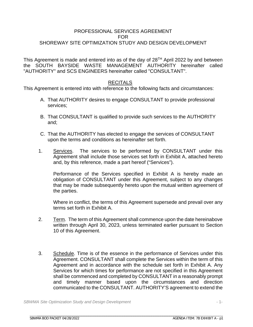#### PROFESSIONAL SERVICES AGREEMENT FOR SHOREWAY SITE OPTIMIZATION STUDY AND DESIGN DEVELOPMENT

This Agreement is made and entered into as of the day of  $28<sup>TH</sup>$  April 2022 by and between the SOUTH BAYSIDE WASTE MANAGEMENT AUTHORITY hereinafter called "AUTHORITY" and SCS ENGINEERS hereinafter called "CONSULTANT".

#### **RECITALS**

This Agreement is entered into with reference to the following facts and circumstances:

- A. That AUTHORITY desires to engage CONSULTANT to provide professional services;
- B. That CONSULTANT is qualified to provide such services to the AUTHORITY and;
- C. That the AUTHORITY has elected to engage the services of CONSULTANT upon the terms and conditions as hereinafter set forth.
- 1. Services. The services to be performed by CONSULTANT under this Agreement shall include those services set forth in Exhibit A, attached hereto and, by this reference, made a part hereof ("Services").

Performance of the Services specified in Exhibit A is hereby made an obligation of CONSULTANT under this Agreement, subject to any changes that may be made subsequently hereto upon the mutual written agreement of the parties.

Where in conflict, the terms of this Agreement supersede and prevail over any terms set forth in Exhibit A.

- 2. Term. The term of this Agreement shall commence upon the date hereinabove written through April 30, 2023, unless terminated earlier pursuant to Section 10 of this Agreement.
- 3. Schedule. Time is of the essence in the performance of Services under this Agreement. CONSULTANT shall complete the Services within the term of this Agreement and in accordance with the schedule set forth in Exhibit A. Any Services for which times for performance are not specified in this Agreement shall be commenced and completed by CONSULTANT in a reasonably prompt and timely manner based upon the circumstances and direction communicated to the CONSULTANT. AUTHORITY'S agreement to extend the

*SBWMA Site Optimization Study and Design Development* - 1-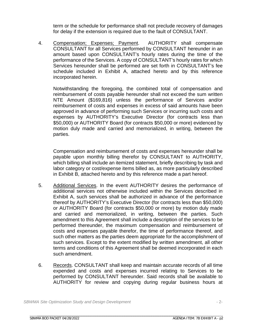term or the schedule for performance shall not preclude recovery of damages for delay if the extension is required due to the fault of CONSULTANT.

4. Compensation; Expenses; Payment. AUTHORITY shall compensate CONSULTANT for all Services performed by CONSULTANT hereunder in an amount based upon CONSULTANT's hourly rates during the time of the performance of the Services. A copy of CONSULTANT's hourly rates for which Services hereunder shall be performed are set forth in CONSULTANT's fee schedule included in Exhibit A, attached hereto and by this reference incorporated herein.

Notwithstanding the foregoing, the combined total of compensation and reimbursement of costs payable hereunder shall not exceed the sum written NTE Amount (\$169,816) unless the performance of Services and/or reimbursement of costs and expenses in excess of said amounts have been approved in advance of performing such Services or incurring such costs and expenses by AUTHORITY's Executive Director (for contracts less than \$50,000) or AUTHORITY Board (for contracts \$50,000 or more) evidenced by motion duly made and carried and memorialized, in writing, between the parties.

Compensation and reimbursement of costs and expenses hereunder shall be payable upon monthly billing therefor by CONSULTANT to AUTHORITY, which billing shall include an itemized statement, briefly describing by task and labor category or cost/expense items billed as, as more particularly described in Exhibit B, attached hereto and by this reference made a part hereof.

- 5. Additional Services. In the event AUTHORITY desires the performance of additional services not otherwise included within the Services described in Exhibit A, such services shall be authorized in advance of the performance thereof by AUTHORITY's Executive Director (for contracts less than \$50,000) or AUTHORITY Board (for contracts \$50,000 or more) by motion duly made and carried and memorialized, in writing, between the parties. Such amendment to this Agreement shall include a description of the services to be performed thereunder, the maximum compensation and reimbursement of costs and expenses payable therefor, the time of performance thereof, and such other matters as the parties deem appropriate for the accomplishment of such services. Except to the extent modified by written amendment, all other terms and conditions of this Agreement shall be deemed incorporated in each such amendment.
- 6. Records. CONSULTANT shall keep and maintain accurate records of all time expended and costs and expenses incurred relating to Services to be performed by CONSULTANT hereunder. Said records shall be available to AUTHORITY for review and copying during regular business hours at

*SBWMA Site Optimization Study and Design Development* - 2-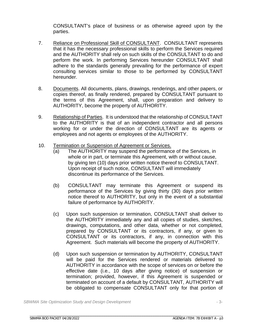CONSULTANT's place of business or as otherwise agreed upon by the parties.

- 7. Reliance on Professional Skill of CONSULTANT. CONSULTANT represents that it has the necessary professional skills to perform the Services required and the AUTHORITY shall rely on such skills of the CONSULTANT to do and perform the work. In performing Services hereunder CONSULTANT shall adhere to the standards generally prevailing for the performance of expert consulting services similar to those to be performed by CONSULTANT hereunder.
- 8. Documents. All documents, plans, drawings, renderings, and other papers, or copies thereof, as finally rendered, prepared by CONSULTANT pursuant to the terms of this Agreement, shall, upon preparation and delivery to AUTHORITY, become the property of AUTHORITY.
- 9. Relationship of Parties. It is understood that the relationship of CONSULTANT to the AUTHORITY is that of an independent contractor and all persons working for or under the direction of CONSULTANT are its agents or employees and not agents or employees of the AUTHORITY.
- 10. Termination or Suspension of Agreement or Services.
	- (a) The AUTHORITY may suspend the performance of the Services, in whole or in part, or terminate this Agreement, with or without cause, by giving ten (10) days prior written notice thereof to CONSULTANT. Upon receipt of such notice, CONSULTANT will immediately discontinue its performance of the Services.
	- (b) CONSULTANT may terminate this Agreement or suspend its performance of the Services by giving thirty (30) days prior written notice thereof to AUTHORITY, but only in the event of a substantial failure of performance by AUTHORITY.
	- (c) Upon such suspension or termination, CONSULTANT shall deliver to the AUTHORITY immediately any and all copies of studies, sketches, drawings, computations, and other data, whether or not completed, prepared by CONSULTANT or its contractors, if any, or given to CONSULTANT or its contractors, if any, in connection with this Agreement. Such materials will become the property of AUTHORITY.
	- (d) Upon such suspension or termination by AUTHORITY, CONSULTANT will be paid for the Services rendered or materials delivered to AUTHORITY in accordance with the scope of services on or before the effective date (i.e., 10 days after giving notice) of suspension or termination; provided, however, if this Agreement is suspended or terminated on account of a default by CONSULTANT, AUTHORITY will be obligated to compensate CONSULTANT only for that portion of

*SBWMA Site Optimization Study and Design Development* - 3-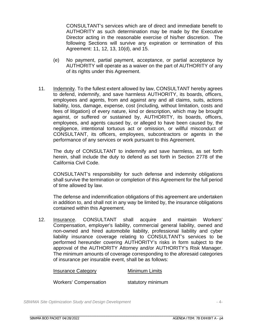CONSULTANT's services which are of direct and immediate benefit to AUTHORITY as such determination may be made by the Executive Director acting in the reasonable exercise of his/her discretion. The following Sections will survive any expiration or termination of this Agreement: 11, 12, 13, 10(d), and 15.

- (e) No payment, partial payment, acceptance, or partial acceptance by AUTHORITY will operate as a waiver on the part of AUTHORITY of any of its rights under this Agreement.
- 11. Indemnity. To the fullest extent allowed by law, CONSULTANT hereby agrees to defend, indemnify, and save harmless AUTHORITY, its boards, officers, employees and agents, from and against any and all claims, suits, actions liability, loss, damage, expense, cost (including, without limitation, costs and fees of litigation) of every nature, kind or description, which may be brought against, or suffered or sustained by, AUTHORITY, its boards, officers, employees, and agents caused by, or alleged to have been caused by, the negligence, intentional tortuous act or omission, or willful misconduct of CONSULTANT, its officers, employees, subcontractors or agents in the performance of any services or work pursuant to this Agreement.

The duty of CONSULTANT to indemnify and save harmless, as set forth herein, shall include the duty to defend as set forth in Section 2778 of the California Civil Code.

CONSULTANT's responsibility for such defense and indemnity obligations shall survive the termination or completion of this Agreement for the full period of time allowed by law.

The defense and indemnification obligations of this agreement are undertaken in addition to, and shall not in any way be limited by, the insurance obligations contained within this Agreement.

12. Insurance. CONSULTANT shall acquire and maintain Workers' Compensation, employer's liability, commercial general liability, owned and non-owned and hired automobile liability, professional liability and cyber liability insurance coverage relating to CONSULTANT's services to be performed hereunder covering AUTHORITY's risks in form subject to the approval of the AUTHORITY Attorney and/or AUTHORITY's Risk Manager. The minimum amounts of coverage corresponding to the aforesaid categories of insurance per insurable event, shall be as follows:

| <b>Insurance Category</b>    | Minimum Limits    |
|------------------------------|-------------------|
| <b>Workers' Compensation</b> | statutory minimum |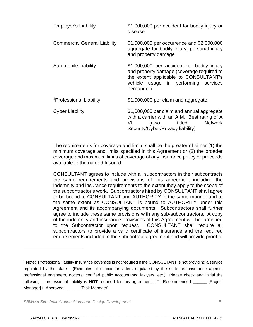| <b>Employer's Liability</b>         | \$1,000,000 per accident for bodily injury or<br>disease                                                                                                                               |
|-------------------------------------|----------------------------------------------------------------------------------------------------------------------------------------------------------------------------------------|
| <b>Commercial General Liability</b> | \$1,000,000 per occurrence and \$2,000,000<br>aggregate for bodily injury, personal injury<br>and property damage                                                                      |
| <b>Automobile Liability</b>         | \$1,000,000 per accident for bodily injury<br>and property damage (coverage required to<br>the extent applicable to CONSULTANT's<br>vehicle usage in performing services<br>hereunder) |
| <sup>1</sup> Professional Liability | \$1,000,000 per claim and aggregate                                                                                                                                                    |
| <b>Cyber Liability</b>              | \$1,000,000 per claim and annual aggregate<br>with a carrier with an A.M. Best rating of A<br>titled<br><b>Network</b><br>(also<br>VI<br>Security/Cyber/Privacy liability)             |

The requirements for coverage and limits shall be the greater of either (1) the minimum coverage and limits specified in this Agreement or (2) the broader coverage and maximum limits of coverage of any insurance policy or proceeds available to the named Insured.

CONSULTANT agrees to include with all subcontractors in their subcontracts the same requirements and provisions of this agreement including the indemnity and insurance requirements to the extent they apply to the scope of the subcontractor's work. Subcontractors hired by CONSULTANT shall agree to be bound to CONSULTANT and AUTHORITY in the same manner and to the same extent as CONSULTANT is bound to AUTHORITY under this Agreement and its accompanying documents. Subcontractors shall further agree to include these same provisions with any sub-subcontractors. A copy of the indemnity and insurance provisions of this Agreement will be furnished to the Subcontractor upon request. CONSULTANT shall require all subcontractors to provide a valid certificate of insurance and the required endorsements included in the subcontract agreement and will provide proof of

*SBWMA Site Optimization Study and Design Development* - 5-

<sup>1</sup> Note: Professional liability insurance coverage is not required if the CONSULTANT is not providing a service regulated by the state. (Examples of service providers regulated by the state are insurance agents, professional engineers, doctors, certified public accountants, lawyers, etc.) Please check and initial the following if professional liability is **NOT** required for this agreement. **Execommended** \_\_\_\_\_ [Project Manager]  $\Box$  Approved \_\_\_\_\_\_\_\_[Risk Manager]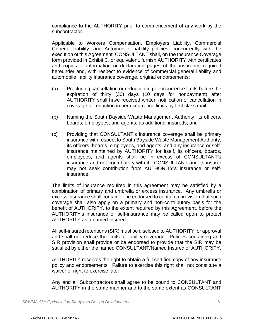compliance to the AUTHORITY prior to commencement of any work by the subcontractor.

Applicable to Workers Compensation, Employers Liability, Commercial General Liability, and Automobile Liability policies, concurrently with the execution of this Agreement, CONSULTANT shall, on the Insurance Coverage form provided in Exhibit C, or equivalent, furnish AUTHORITY with certificates and copies of information or declaration pages of the insurance required hereunder and, with respect to evidence of commercial general liability and automobile liability insurance coverage, original endorsements:

- (a) Precluding cancellation or reduction in per occurrence limits before the expiration of thirty (30) days (10 days for nonpayment) after AUTHORITY shall have received written notification of cancellation in coverage or reduction in per occurrence limits by first class mail;
- (b) Naming the South Bayside Waste Management Authority, its officers, boards, employees, and agents, as additional insureds; and
- (c) Providing that CONSULTANT's insurance coverage shall be primary insurance with respect to South Bayside Waste Management Authority, its officers, boards, employees, and agents, and any insurance or selfinsurance maintained by AUTHORITY for itself, its officers, boards, employees, and agents shall be in excess of CONSULTANT's insurance and not contributory with it. CONSULTANT and its insurer may not seek contribution from AUTHORITY's insurance or selfinsurance.

The limits of insurance required in this agreement may be satisfied by a combination of primary and umbrella or excess insurance. Any umbrella or excess insurance shall contain or be endorsed to contain a provision that such coverage shall also apply on a primary and non-contributory basis for the benefit of AUTHORITY, to the extent required by this Agreement, before the AUTHORITY's insurance or self-insurance may be called upon to protect AUTHORITY as a named Insured.

All self-insured retentions (SIR) must be disclosed to AUTHORITY for approval and shall not reduce the limits of liability coverage. Policies containing and SIR provision shall provide or be endorsed to provide that the SIR may be satisfied by either the named CONSULTANT/Named Insured or AUTHORITY.

AUTHORITY reserves the right to obtain a full certified copy of any insurance policy and endorsements. Failure to exercise this right shall not constitute a waiver of right to exercise later.

Any and all Subcontractors shall agree to be bound to CONSULTANT and AUTHORITY in the same manner and to the same extent as CONSULTANT

*SBWMA Site Optimization Study and Design Development* - 6-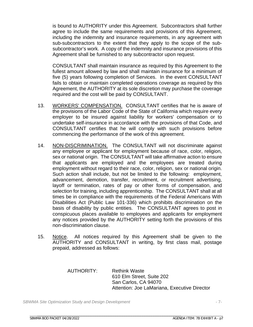is bound to AUTHORITY under this Agreement. Subcontractors shall further agree to include the same requirements and provisions of this Agreement, including the indemnity and insurance requirements, in any agreement with sub-subcontractors to the extent that they apply to the scope of the subsubcontractor's work. A copy of the indemnity and insurance provisions of this Agreement shall be furnished to any subcontractor upon request.

CONSULTANT shall maintain insurance as required by this Agreement to the fullest amount allowed by law and shall maintain insurance for a minimum of five (5) years following completion of Services. In the event CONSULTANT fails to obtain or maintain completed operations coverage as required by this Agreement, the AUTHORITY at its sole discretion may purchase the coverage required and the cost will be paid by CONSULTANT.

- 13. WORKERS' COMPENSATION. CONSULTANT certifies that he is aware of the provisions of the Labor Code of the State of California which require every employer to be insured against liability for workers' compensation or to undertake self-insurance in accordance with the provisions of that Code, and CONSULTANT certifies that he will comply with such provisions before commencing the performance of the work of this agreement.
- 14. NON-DISCRIMINATION. The CONSULTANT will not discriminate against any employee or applicant for employment because of race, color, religion, sex or national origin. The CONSULTANT will take affirmative action to ensure that applicants are employed and the employees are treated during employment without regard to their race, color, religion, sex or national origin. Such action shall include, but not be limited to the following: employment, advancement, demotion, transfer, recruitment, or recruitment advertising, layoff or termination, rates of pay or other forms of compensation, and selection for training, including apprenticeship. The CONSULTANT shall at all times be in compliance with the requirements of the Federal Americans With Disabilities Act (Public Law 101-336) which prohibits discrimination on the basis of disability by public entities. The CONSULTANT agrees to post in conspicuous places available to employees and applicants for employment any notices provided by the AUTHORITY setting forth the provisions of this non-discrimination clause.
- 15. Notice. All notices required by this Agreement shall be given to the AUTHORITY and CONSULTANT in writing, by first class mail, postage prepaid, addressed as follows:

AUTHORITY: Rethink Waste 610 Elm Street, Suite 202 San Carlos, CA 94070 Attention: Joe LaMariana, Executive Director

*SBWMA Site Optimization Study and Design Development* - 7-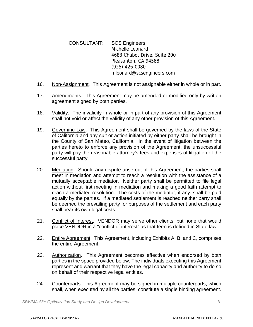CONSULTANT: SCS Engineers Michelle Leonard 4683 Chabot Drive, Suite 200 Pleasanton, CA 94588 (925) 426-0080 mleonard@scsengineers.com

- 16. Non-Assignment. This Agreement is not assignable either in whole or in part.
- 17. Amendments. This Agreement may be amended or modified only by written agreement signed by both parties.
- 18. Validity. The invalidity in whole or in part of any provision of this Agreement shall not void or affect the validity of any other provision of this Agreement.
- 19. Governing Law. This Agreement shall be governed by the laws of the State of California and any suit or action initiated by either party shall be brought in the County of San Mateo, California. In the event of litigation between the parties hereto to enforce any provision of the Agreement, the unsuccessful party will pay the reasonable attorney's fees and expenses of litigation of the successful party.
- 20. Mediation. Should any dispute arise out of this Agreement, the parties shall meet in mediation and attempt to reach a resolution with the assistance of a mutually acceptable mediator. Neither party shall be permitted to file legal action without first meeting in mediation and making a good faith attempt to reach a mediated resolution. The costs of the mediator, if any, shall be paid equally by the parties. If a mediated settlement is reached neither party shall be deemed the prevailing party for purposes of the settlement and each party shall bear its own legal costs.
- 21. Conflict of Interest. VENDOR may serve other clients, but none that would place VENDOR in a "conflict of interest" as that term is defined in State law.
- 22. Entire Agreement. This Agreement, including Exhibits A, B, and C, comprises the entire Agreement.
- 23. Authorization. This Agreement becomes effective when endorsed by both parties in the space provided below. The individuals executing this Agreement represent and warrant that they have the legal capacity and authority to do so on behalf of their respective legal entities.
- 24. Counterparts. This Agreement may be signed in multiple counterparts, which shall, when executed by all the parties, constitute a single binding agreement.

*SBWMA Site Optimization Study and Design Development* - 8-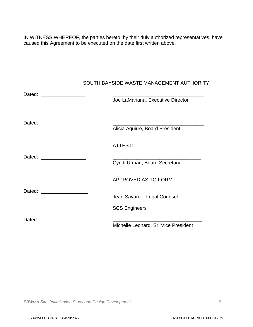IN WITNESS WHEREOF, the parties hereto, by their duly authorized representatives, have caused this Agreement to be executed on the date first written above.

|        | Joe LaMariana, Executive Director    |
|--------|--------------------------------------|
| Dated: | Alicia Aguirre, Board President      |
|        | ATTEST:                              |
|        | Cyndi Urman, Board Secretary         |
|        | <b>APPROVED AS TO FORM</b>           |
|        | Jean Savaree, Legal Counsel          |
|        | <b>SCS Engineers</b>                 |
| Dated: | Michelle Leonard, Sr. Vice President |
|        |                                      |

SOUTH BAYSIDE WASTE MANAGEMENT AUTHORITY

*SBWMA Site Optimization Study and Design Development* - 9-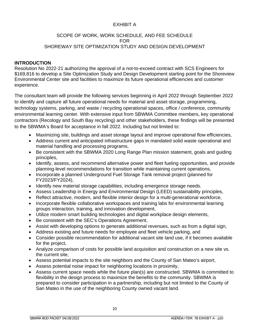#### EXHIBIT A

#### SCOPE OF WORK, WORK SCHEDULE, AND FEE SCHEDULE FOR SHOREWAY SITE OPTIMIZATION STUDY AND DESIGN DEVELOPMENT

#### **INTRODUCTION**

Resolution No 2022-21 authorizing the approval of a not-to-exceed contract with SCS Engineers for \$169,816 to develop a Site Optimization Study and Design Development starting point for the Shoreview Environmental Center site and facilities to maximize its future operational efficiencies and customer experience.

The consultant team will provide the following services beginning in April 2022 through September 2022 to identify and capture all future operational needs for material and asset storage, programming, technology systems, parking, and waste / recycling operational spaces, office / conference, community environmental learning center. With extensive input from SBWMA Committee members, key operational contractors (Recology and South Bay recycling) and other stakeholders, these findings will be presented to the SBWMA's Board for acceptance in fall 2022. Including but not limited to:

- Maximizing site, buildings and asset storage layout and improve operational flow efficiencies,
- Address current and anticipated infrastructure gaps in mandated solid waste operational and material handling and processing programs,
- Be consistent with the SBWMA 2020 Long Range Plan mission statement, goals and guiding principles,
- Identify, assess, and recommend alternative power and fleet fueling opportunities, and provide planning-level recommendations for transition while maintaining current operations,
- Incorporate a planned Underground Fuel Storage Tank removal project (planned for FY2023/FY2024),
- Identify new material storage capabilities, including emergence storage needs.
- Assess Leadership in Energy and Environmental Design (LEED) sustainability principles,
- Reflect attractive, modern, and flexible interior design for a multi-generational workforce,
- Incorporate flexible collaborative workspaces and training labs for environmental learning groups interaction, training, and innovation development,
- Utilize modern smart building technologies and digital workplace design elements,
- Be consistent with the SEC's Operations Agreement,
- Assist with developing options to generate additional revenues, such as from a digital sign,
- Address existing and future needs for employee and fleet vehicle parking, and
- Consider possible recommendation for additional vacant site land use, if it becomes available for the project,
- Analyze comparison of costs for possible land acquisition and construction on a new site vs. the current site,
- Assess potential impacts to the site neighbors and the County of San Mateo's airport,
- Assess potential noise impact for neighboring locations in proximity,
- Assess current space needs while the future plan(s) are constructed. SBWMA is committed to flexibility in the design process to maximize the benefits to the community. SBWMA is prepared to consider participation in a partnership, including but not limited to the County of San Mateo in the use of the neighboring County owned vacant land.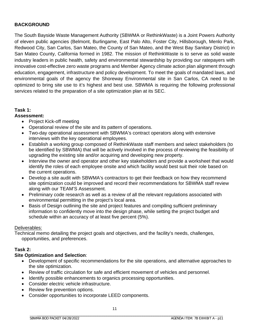#### **BACKGROUND**

The South Bayside Waste Management Authority (SBWMA or RethinkWaste) is a Joint Powers Authority of eleven public agencies (Belmont, Burlingame, East Palo Alto, Foster City, Hillsborough, Menlo Park, Redwood City, San Carlos, San Mateo, the County of San Mateo, and the West Bay Sanitary District) in San Mateo County, California formed in 1982. The mission of RethinkWaste is to serve as solid waste industry leaders in public health, safety and environmental stewardship by providing our ratepayers with innovative cost-effective zero waste programs and Member Agency climate action plan alignment through education, engagement, infrastructure and policy development. To meet the goals of mandated laws, and environmental goals of the agency the Shoreway Environmental site in San Carlos, CA need to be optimized to bring site use to it's highest and best use. SBWMA is requiring the following professional services related to the preparation of a site optimization plan at its SEC.

#### **Task 1:**

#### **Assessment:**

- Project Kick-off meeting
- Operational review of the site and its pattern of operations.
- Two-day operational assessment with SBWMA's contract operators along with extensive interviews with the key operational employees.
- Establish a working group composed of RethinkWaste staff members and select stakeholders (to be identified by SBWMA) that will be actively involved in the process of reviewing the feasibility of upgrading the existing site and/or acquiring and developing new property.
- Interview the owner and operator and other key stakeholders and provide a worksheet that would identify the roles of each employee onsite and which facility would best suit their role based on the current operations.
- Develop a site audit with SBWMA's contractors to get their feedback on how they recommend site optimization could be improved and record their recommendations for SBWMA staff review along with our TEAM'S Assessment.
- Preliminary code research as well as a review of all the relevant regulations associated with environmental permitting in the project's local area.
- Basis of Design outlining the site and project features and compiling sufficient preliminary information to confidently move into the design phase, while setting the project budget and schedule within an accuracy of at least five percent (5%).

#### Deliverables:

Technical memo detailing the project goals and objectives, and the facility's needs, challenges, opportunities, and preferences.

#### **Task 2:**

#### **Site Optimization and Selection**:

- Development of specific recommendations for the site operations, and alternative approaches to the site optimization.
- Review of traffic circulation for safe and efficient movement of vehicles and personnel.
- Identify possible enhancements to organics processing opportunities.
- Consider electric vehicle infrastructure.
- Review fire prevention options.
- Consider opportunities to incorporate LEED components.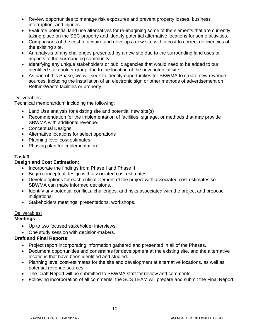- Review opportunities to manage risk exposures and prevent property losses, business interruption, and injuries.
- Evaluate potential land use alternatives for re-imagining some of the elements that are currently taking place on the SEC property and identify potential alternative locations for some activities.
- Comparisons of the cost to acquire and develop a new site with a cost to correct deficiencies of the existing site.
- An analysis of any challenges presented by a new site due to the surrounding land uses or impacts to the surrounding community.
- Identifying any unique stakeholders or public agencies that would need to be added to our identified stakeholder group due to the location of the new potential site.
- As part of this Phase, we will seek to identify opportunities for SBWMA to create new revenue sources, including the installation of an electronic sign or other methods of advertisement on RethinkWaste facilities or property.

#### Deliverables:

Technical memorandum including the following:

- Land Use analysis for existing site and potential new site(s)
- Recommendation for the implementation of facilities, signage, or methods that may provide SBWMA with additional revenue.
- Conceptual Designs
- Alternative locations for select operations
- Planning level cost estimates
- Phasing plan for implementation

#### **Task 3:**

#### **Design and Cost Estimation:**

- Incorporate the findings from Phase I and Phase II
- Begin conceptual design with associated cost estimates.
- Develop options for each critical element of the project with associated cost estimates so SBWMA can make informed decisions.
- Identify any potential conflicts, challenges, and risks associated with the project and propose mitigations.
- Stakeholders meetings, presentations, workshops.

#### Deliverables:

#### **Meetings**

- Up to two focused stakeholder interviews.
- One study session with decision-makers.

#### **Draft and Final Reports:**

- Project report incorporating information gathered and presented in all of the Phases.
- Document opportunities and constraints for development at the existing site, and the alternative locations that have been identified and studied.
- Planning level cost-estimates for the site and development at alternative locations, as well as potential revenue sources.
- The Draft Report will be submitted to SBWMA staff for review and comments.
- Following incorporation of all comments, the SCS TEAM will prepare and submit the Final Report.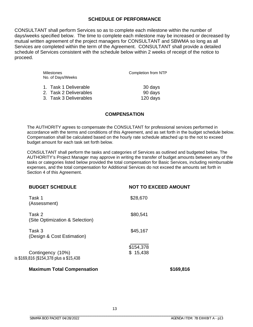#### **SCHEDULE OF PERFORMANCE**

CONSULTANT shall perform Services so as to complete each milestone within the number of days/weeks specified below. The time to complete each milestone may be increased or decreased by mutual written agreement of the project managers for CONSULTANT and SBWMA so long as all Services are completed within the term of the Agreement. CONSULTANT shall provide a detailed schedule of Services consistent with the schedule below within 2 weeks of receipt of the notice to proceed.

| <b>Milestones</b><br>No. of Days/Weeks | Completion from NTP |  |  |  |
|----------------------------------------|---------------------|--|--|--|
| 1. Task 1 Deliverable                  | 30 days             |  |  |  |
| 2. Task 2 Deliverables                 | 90 days             |  |  |  |
| 3. Task 3 Deliverables                 | 120 days            |  |  |  |

#### **COMPENSATION**

The AUTHORITY agrees to compensate the CONSULTANT for professional services performed in accordance with the terms and conditions of this Agreement, and as set forth in the budget schedule below. Compensation shall be calculated based on the hourly rate schedule attached up to the not to exceed budget amount for each task set forth below.

CONSULTANT shall perform the tasks and categories of Services as outlined and budgeted below. The AUTHORITY's Project Manager may approve in writing the transfer of budget amounts between any of the tasks or categories listed below provided the total compensation for Basic Services, including reimbursable expenses, and the total compensation for Additional Services do not exceed the amounts set forth in Section 4 of this Agreement.

| <b>NOT TO EXCEED AMOUNT</b> |
|-----------------------------|
| \$28,670                    |
| \$80,541                    |
| \$45,167                    |
| \$154,378<br>\$15,438       |
| \$169,816                   |
|                             |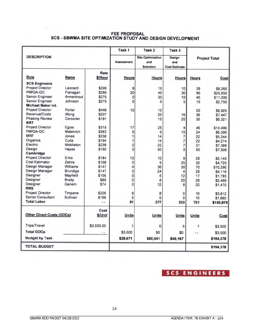# FEE PROPOSAL<br>SCS - SBWMA SITE OPTIMIZATION STUDY AND DESIGN DEVELOPMENT

|                                  |             |                 | Task <sub>1</sub>       | Task <sub>2</sub>                                   | Task <sub>3</sub>                     |              |                      |
|----------------------------------|-------------|-----------------|-------------------------|-----------------------------------------------------|---------------------------------------|--------------|----------------------|
| <b>DESCRIPTION</b>               |             |                 | <b>Assessment</b>       | <b>Site Optimization</b><br>and<br><b>Selection</b> | Design<br>and<br><b>Cost Estimate</b> |              | <b>Project Total</b> |
| Role                             | <b>Name</b> | Rate<br>\$/Hour | <b>Hours</b>            | <b>Hours</b>                                        | <b>Hours</b>                          | <b>Hours</b> | Cost                 |
| <b>SCS Engineers</b>             |             |                 |                         |                                                     |                                       |              |                      |
| Project Director                 | Leonard     | \$295           | 8                       | 10                                                  | 10                                    | 28           | \$8,260              |
| PM/QA-QC                         | Flanagan    | \$285           | 20                      | 40                                                  | 30                                    | 90           | \$25,650             |
| Senior Engineer                  | Armentrout  | \$275           | $\mathbf{0}$            | 30                                                  | 10                                    | 40           | \$11,000             |
| Senior Engineer                  | Johnson     | \$275           | 0                       | 5                                                   | 5                                     | 10           | \$2,750              |
| Michael Baker Int.               |             |                 |                         |                                                     |                                       |              |                      |
| <b>Project Director</b>          | Porter      | \$446           | 10                      | 10                                                  |                                       | 20           | \$8,925              |
| Revenue/Costs                    | Wong        | \$207           |                         | 20                                                  | 16                                    | 36           | \$7,447              |
| <b>Phasing Review</b>            | Corcoran    | \$181           |                         | 15                                                  | 20                                    | 35           | \$6,321              |
| <b>RRT</b>                       |             |                 |                         |                                                     |                                       |              |                      |
| <b>Project Director</b>          | Egosi       | \$315           | 17                      | 25                                                  | 4                                     | 46           | \$14,490             |
| PM/QA-QC                         | Matelvich   | \$263           | 5                       | 9                                                   | 10                                    | 24           | \$6,300              |
| <b>MRF</b>                       | Jones       | \$238           | 1                       | 14                                                  | 7                                     | 22           | \$5,244              |
| Organics                         | Cuita       | \$194           | 1                       | 14                                                  | 7                                     | 22           | \$4,274              |
| Electric                         | Middleton   | \$238           | $\overline{\mathbf{c}}$ | 22                                                  | 7                                     | 31           | \$7,389              |
| Design                           | Hayes       | \$150           | 0                       | 50                                                  | 0                                     | 50           | \$7,508              |
| Cambridge                        |             |                 |                         |                                                     |                                       |              |                      |
| Project Director                 | Eriks       | \$184           | 10                      | 10                                                  | 8                                     | 28           | \$5,145              |
| <b>Cost Estimator</b>            | Zelms       | \$158           | 0                       | 5                                                   | 25                                    | 30           | \$4,725              |
| Design Manager                   | Williams    | <b>S147</b>     | 4                       | 36                                                  | 30                                    | 70           | \$10,290             |
| Design Manager                   | Brundige    | <b>S147</b>     | Ó                       | 24                                                  | 4                                     | 28           | \$4,116              |
| Designer                         | Mayfield    | \$105           | 0                       | 5                                                   | 12                                    | 17           | \$1,785              |
| Designer                         | Brady       | \$89            | 0                       | 8                                                   | 20                                    | 28           | \$2,499              |
| Designer                         | Ganem       | \$74            | Ö                       | 12                                                  | 8                                     | 20           | \$1,470              |
| <b>RRS</b>                       |             |                 |                         |                                                     |                                       |              |                      |
| Project Director                 | Timpane     | \$226           | 8                       | 8                                                   | 0                                     | 16           | \$3,612              |
| <b>Senior Consultant</b>         | Sullivan    | \$168           | 5                       | 5                                                   | 0                                     | 10           | \$1,680              |
| <b>Total Labor</b>               |             |                 | 91                      | 377                                                 | 233                                   | 701          | \$150,878            |
| <b>Other Direct Costs (ODCs)</b> |             | Cost<br>\$/Unit | <b>Units</b>            | <b>Units</b>                                        | <b>Units</b>                          | <b>Units</b> | Cost                 |
| Trips/Travel                     |             | \$3,500.00      | 1                       | 0                                                   | O                                     | 1            | \$3,500              |
| <b>Total ODCs</b>                |             | . .             | \$3,500                 | \$0                                                 | \$0                                   |              | \$3,500              |
| <b>Budget by Task</b>            |             |                 | \$28,671                | \$80,541                                            | \$45,167                              |              | \$154,378            |
| <b>TOTAL BUDGET</b>              |             |                 |                         |                                                     |                                       |              | \$154,378            |

## **SCS ENGINEERS**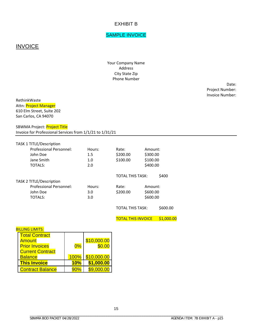#### EXHIBIT B

#### SAMPLE INVOICE

#### **INVOICE**

Your Company Name Address City State Zip Phone Number

> Date: Project Number: Invoice Number:

RethinkWaste Attn: Project Manager 610 Elm Street, Suite 202 San Carlos, CA 94070

SBWMA Project: Project Title Invoice for Professional Services from 1/1/21 to 1/31/21

| <b>TASK 1 TITLE/Description</b> |        |                  |          |       |
|---------------------------------|--------|------------------|----------|-------|
| <b>Professional Personnel:</b>  | Hours: | Rate:            | Amount:  |       |
| John Doe                        | 1.5    | \$200.00         | \$300.00 |       |
| Jane Smith                      | 1.0    | \$100.00         | \$100.00 |       |
| <b>TOTALS:</b>                  | 2.0    |                  | \$400.00 |       |
|                                 |        | TOTAL THIS TASK: |          | \$400 |
| <b>TASK 2 TITLE/Description</b> |        |                  |          |       |
| Professional Personnel:         | Hours: | Rate:            | Amount:  |       |
| John Doe                        | 3.0    | \$200.00         | \$600.00 |       |
| <b>TOTALS:</b>                  | 3.0    |                  | \$600.00 |       |
|                                 |        |                  |          |       |

TOTAL THIS TASK: \$600.00

TOTAL THIS INVOICE \$1,000.00

#### **BILLING LIMITS:**

| <b>Total Contract</b>   |      |             |
|-------------------------|------|-------------|
| Amount                  |      | \$10,000.00 |
| <b>Prior Invoices</b>   | 0%   | \$0.00      |
| <b>Current Contract</b> |      |             |
| <b>Balance</b>          | 100% | \$10,000.00 |
| <b>This Invoice</b>     | 10%  | \$1,000.00  |
| <b>Contract Balance</b> | 90%  |             |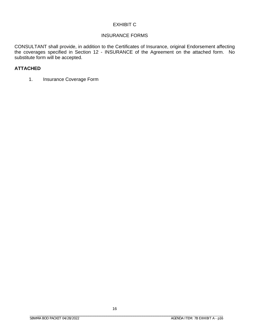#### EXHIBIT C

#### INSURANCE FORMS

CONSULTANT shall provide, in addition to the Certificates of Insurance, original Endorsement affecting the coverages specified in Section 12 - INSURANCE of the Agreement on the attached form. No substitute form will be accepted.

#### **ATTACHED**

1. Insurance Coverage Form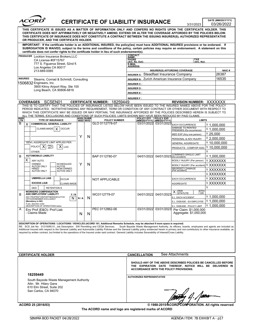| ACORD |
|-------|
|       |

## **CERTIFICATE OF LIABILITY INSURANCE**

DATE (MM/DD/YYYY)<br>03/26/2022

| ----<br>CERTIFICATE OF LIABILITY INSURANCE<br>3/31/2023                                                                |                                                                                                                                                                                                                                                                                                                                                                                                                                                                                                                                                                                                                                                                                                                      |     |                       |                                                       |                                                 |                                  | 03/26/2022                        |                                                    |            |              |
|------------------------------------------------------------------------------------------------------------------------|----------------------------------------------------------------------------------------------------------------------------------------------------------------------------------------------------------------------------------------------------------------------------------------------------------------------------------------------------------------------------------------------------------------------------------------------------------------------------------------------------------------------------------------------------------------------------------------------------------------------------------------------------------------------------------------------------------------------|-----|-----------------------|-------------------------------------------------------|-------------------------------------------------|----------------------------------|-----------------------------------|----------------------------------------------------|------------|--------------|
|                                                                                                                        | THIS CERTIFICATE IS ISSUED AS A MATTER OF INFORMATION ONLY AND CONFERS NO RIGHTS UPON THE CERTIFICATE HOLDER. THIS<br>CERTIFICATE DOES NOT AFFIRMATIVELY OR NEGATIVELY AMEND, EXTEND OR ALTER THE COVERAGE AFFORDED BY THE POLICIES BELOW.<br>THIS CERTIFICATE OF INSURANCE DOES NOT CONSTITUTE A CONTRACT BETWEEN THE ISSUING INSURER(S), AUTHORIZED REPRESENTATIVE<br>OR PRODUCER, AND THE CERTIFICATE HOLDER.                                                                                                                                                                                                                                                                                                     |     |                       |                                                       |                                                 |                                  |                                   |                                                    |            |              |
|                                                                                                                        | IMPORTANT: If the certificate holder is an ADDITIONAL INSURED, the policy(ies) must have ADDITIONAL INSURED provisions or be endorsed. If<br>SUBROGATION IS WAIVED, subject to the terms and conditions of the policy, certain policies may require an endorsement. A statement on this<br>certificate does not confer rights to the certificate holder in lieu of such endorsement(s).                                                                                                                                                                                                                                                                                                                              |     |                       |                                                       |                                                 |                                  |                                   |                                                    |            |              |
|                                                                                                                        | PRODUCER Lockton Insurance Brokers, LLC                                                                                                                                                                                                                                                                                                                                                                                                                                                                                                                                                                                                                                                                              |     |                       |                                                       | <b>CONTACT</b>                                  |                                  |                                   |                                                    |            |              |
|                                                                                                                        | CA License #0F15767                                                                                                                                                                                                                                                                                                                                                                                                                                                                                                                                                                                                                                                                                                  |     |                       |                                                       | <u>NAME:</u><br><b>PHONE</b><br>(A/C, No, Ext): |                                  |                                   | <b>FAX</b><br>(A/C, No):                           |            |              |
|                                                                                                                        | 777 S. Figueroa Street, 52nd fl.                                                                                                                                                                                                                                                                                                                                                                                                                                                                                                                                                                                                                                                                                     |     |                       |                                                       | <b>E-MAIL</b><br><b>ADDRESS:</b>                |                                  |                                   |                                                    |            |              |
|                                                                                                                        | Los Angeles CA 90017<br>213-689-0065                                                                                                                                                                                                                                                                                                                                                                                                                                                                                                                                                                                                                                                                                 |     |                       |                                                       |                                                 |                                  |                                   | INSURER(S) AFFORDING COVERAGE                      |            | <b>NAIC#</b> |
|                                                                                                                        |                                                                                                                                                                                                                                                                                                                                                                                                                                                                                                                                                                                                                                                                                                                      |     |                       |                                                       |                                                 |                                  |                                   | <b>INSURER A: Steadfast Insurance Company</b>      |            | 26387        |
|                                                                                                                        | <b>INSURED</b><br>Stearns, Conrad & Schmidt, Consulting                                                                                                                                                                                                                                                                                                                                                                                                                                                                                                                                                                                                                                                              |     |                       |                                                       |                                                 |                                  |                                   | INSURER B: Zurich American Insurance Company       |            | 16535        |
|                                                                                                                        | 1506832 Engineers, Inc.<br>3900 Kilroy Airport Way, Ste 100                                                                                                                                                                                                                                                                                                                                                                                                                                                                                                                                                                                                                                                          |     |                       |                                                       | <b>INSURER C:</b>                               |                                  |                                   |                                                    |            |              |
|                                                                                                                        | Long Beach, CA 90806-6816                                                                                                                                                                                                                                                                                                                                                                                                                                                                                                                                                                                                                                                                                            |     |                       |                                                       | <b>INSURER D:</b>                               |                                  |                                   |                                                    |            |              |
|                                                                                                                        |                                                                                                                                                                                                                                                                                                                                                                                                                                                                                                                                                                                                                                                                                                                      |     |                       |                                                       | <b>INSURER E:</b>                               |                                  |                                   |                                                    |            |              |
|                                                                                                                        | SCSEN01<br><b>COVERAGES</b>                                                                                                                                                                                                                                                                                                                                                                                                                                                                                                                                                                                                                                                                                          |     |                       | 18259449<br><b>CERTIFICATE NUMBER:</b>                | <b>INSURER F:</b>                               |                                  |                                   | <b>REVISION NUMBER:</b>                            |            | XXXXXXX      |
|                                                                                                                        | THIS IS TO CERTIFY THAT THE POLICIES OF INSURANCE LISTED BELOW HAVE BEEN ISSUED TO THE INSURED NAMED ABOVE FOR THE POLICY                                                                                                                                                                                                                                                                                                                                                                                                                                                                                                                                                                                            |     |                       |                                                       |                                                 |                                  |                                   |                                                    |            |              |
|                                                                                                                        | PERIOD INDICATED. NOTWITHSTANDING ANY REQUIREMENT, TERM OR CONDITION OF ANY CONTRACT OR OTHER DOCUMENT WITH RESPECT TO<br>WHICH THIS CERTIFICATE MAY BE ISSUED OR MAY PERTAIN, THE INSURANCE AFFORDED BY THE POLICIES DESCRIBED HEREIN IS SUBJECT TO                                                                                                                                                                                                                                                                                                                                                                                                                                                                 |     |                       |                                                       |                                                 |                                  |                                   |                                                    |            |              |
| <b>INSR</b><br>LTR                                                                                                     | ALL THE TERMS, EXCLUSIONS AND CONDITIONS OF SUCH POLICIES. LIMITS SHOWN MAY HAVE BEEN REDUCED BY PAID CLAIMS.<br><b>TYPE OF INSURANCE</b>                                                                                                                                                                                                                                                                                                                                                                                                                                                                                                                                                                            |     | ADDL SUBR<br>INSD WVD | <b>POLICY NUMBER</b>                                  |                                                 | POLICY EFF                       | POLICY EXP<br>(MM/DD/YYYY)        | <b>LIMITS</b>                                      |            |              |
| B                                                                                                                      | <b>COMMERCIAL GENERAL LIABILITY</b><br>X                                                                                                                                                                                                                                                                                                                                                                                                                                                                                                                                                                                                                                                                             |     |                       | GLO 0112778-07                                        |                                                 | 03/31/2022                       | 03/31/2023                        | <b>EACH OCCURRENCE</b>                             |            | \$1.000.000  |
|                                                                                                                        | CLAIMS-MADE<br><b>OCCUR</b><br>X                                                                                                                                                                                                                                                                                                                                                                                                                                                                                                                                                                                                                                                                                     |     |                       |                                                       |                                                 |                                  |                                   | DAMAGE TO RENTED<br>PREMISES (Ea occurrence)       |            | \$1.000.000  |
|                                                                                                                        |                                                                                                                                                                                                                                                                                                                                                                                                                                                                                                                                                                                                                                                                                                                      |     |                       |                                                       |                                                 |                                  |                                   | MED EXP (Any one person)                           | \$25.000   |              |
|                                                                                                                        |                                                                                                                                                                                                                                                                                                                                                                                                                                                                                                                                                                                                                                                                                                                      | Y   | N                     |                                                       |                                                 |                                  |                                   | PERSONAL & ADV INJURY                              |            | \$2,000,000  |
|                                                                                                                        | <b>GEN'L AGGREGATE LIMIT APPLIES PER:</b>                                                                                                                                                                                                                                                                                                                                                                                                                                                                                                                                                                                                                                                                            |     |                       |                                                       |                                                 |                                  |                                   | <b>GENERAL AGGREGATE</b>                           |            | \$10.000.000 |
|                                                                                                                        | PRO-<br>JECT<br><b>POLICY</b><br>х<br>х<br>LOC                                                                                                                                                                                                                                                                                                                                                                                                                                                                                                                                                                                                                                                                       |     |                       |                                                       |                                                 |                                  |                                   | PRODUCTS - COMP/OP AGG                             |            | \$10,000,000 |
|                                                                                                                        | OTHER:<br><b>AUTOMOBILE LIABILITY</b>                                                                                                                                                                                                                                                                                                                                                                                                                                                                                                                                                                                                                                                                                |     |                       |                                                       |                                                 |                                  |                                   | 04/01/2023 (Ea accident)                           | \$         | \$1,000,000  |
| B                                                                                                                      | х<br>ANY AUTO                                                                                                                                                                                                                                                                                                                                                                                                                                                                                                                                                                                                                                                                                                        |     |                       | BAP 0112780-07                                        |                                                 | 04/01/2022                       |                                   | BODILY INJURY (Per person)                         |            | \$XXXXXXX    |
|                                                                                                                        | <b>SCHEDULED</b><br>OWNED                                                                                                                                                                                                                                                                                                                                                                                                                                                                                                                                                                                                                                                                                            | Y   | N                     |                                                       |                                                 |                                  | BODILY INJURY (Per accident)      |                                                    | \$ XXXXXXX |              |
|                                                                                                                        | <b>AUTOS ONLY</b><br>AUTOS<br>NON-OWNED<br><b>HIRED</b><br><b>AUTOS ONLY</b><br><b>AUTOS ONLY</b>                                                                                                                                                                                                                                                                                                                                                                                                                                                                                                                                                                                                                    |     |                       |                                                       |                                                 |                                  | PROPERTY DAMAGE<br>(Per accident) |                                                    | \$XXXXXXX  |              |
|                                                                                                                        |                                                                                                                                                                                                                                                                                                                                                                                                                                                                                                                                                                                                                                                                                                                      |     |                       |                                                       |                                                 |                                  |                                   |                                                    |            | \$ XXXXXXX   |
|                                                                                                                        | <b>UMBRELLA LIAB</b><br>OCCUR                                                                                                                                                                                                                                                                                                                                                                                                                                                                                                                                                                                                                                                                                        |     |                       | <b>NOT APPLICABLE</b>                                 |                                                 |                                  |                                   | <b>EACH OCCURRENCE</b>                             |            | \$XXXXXXX    |
|                                                                                                                        | <b>EXCESS LIAB</b><br>CLAIMS-MADE                                                                                                                                                                                                                                                                                                                                                                                                                                                                                                                                                                                                                                                                                    |     |                       |                                                       |                                                 |                                  |                                   | <b>AGGREGATE</b>                                   |            | \$ XXXXXXX   |
|                                                                                                                        | DED<br><b>RETENTION \$</b><br><b>WORKERS COMPENSATION</b>                                                                                                                                                                                                                                                                                                                                                                                                                                                                                                                                                                                                                                                            |     |                       |                                                       |                                                 |                                  |                                   | X <b>PER</b><br>STATUTE<br>OTH-<br>ER              | \$         |              |
| B                                                                                                                      | AND EMPLOYERS' LIABILITY<br>Y/N<br>ANY PROPRIETOR/PARTNER/EXECUTIVE                                                                                                                                                                                                                                                                                                                                                                                                                                                                                                                                                                                                                                                  |     |                       | WC0112779-07                                          |                                                 | 04/01/2022                       | 04/01/2023                        | E.L. EACH ACCIDENT                                 |            | \$1,000,000  |
|                                                                                                                        | N<br>OFFICER/MEMBER EXCLUDED?<br>(Mandatory in NH)                                                                                                                                                                                                                                                                                                                                                                                                                                                                                                                                                                                                                                                                   | N/A | N                     |                                                       |                                                 |                                  |                                   | E.L. DISEASE - EA EMPLOYEE                         |            | \$1,000,000  |
|                                                                                                                        | If yes, describe under<br>DÉSCRIPTION OF OPERATIONS below                                                                                                                                                                                                                                                                                                                                                                                                                                                                                                                                                                                                                                                            |     |                       |                                                       |                                                 |                                  |                                   | E.L. DISEASE - POLICY LIMIT                        |            | \$1.000.000  |
| Α                                                                                                                      | Env Prof (E&O)- Prof Liab<br>- Claims Made                                                                                                                                                                                                                                                                                                                                                                                                                                                                                                                                                                                                                                                                           | N   | N                     | PEC 0112862-06                                        |                                                 | 03/31/2022 03/31/2023            |                                   | Per Claim: \$1,000,000<br>Aggregate: \$1,000,000   |            |              |
|                                                                                                                        |                                                                                                                                                                                                                                                                                                                                                                                                                                                                                                                                                                                                                                                                                                                      |     |                       |                                                       |                                                 |                                  |                                   |                                                    |            |              |
|                                                                                                                        | DESCRIPTION OF OPERATIONS / LOCATIONS / VEHICLES (ACORD 101, Additional Remarks Schedule, may be attached if more space is required)<br>RE: SCS Job No: 01215095.01, Job Description: SW Permitting and CEQA Services. South Bayside Waste Management Authority, its officers, boards, employees and agents are included as<br>Additional Insured with respect to the General Liability and Automobile Liability Policies and the General Liability policy evidenced herein is primary and non-contributory to other insurance available, as<br>required by written contract, but limited to the operations of the Insured under said contract. General Liability includes Severability of Interest/Cross Liability. |     |                       |                                                       |                                                 |                                  |                                   |                                                    |            |              |
|                                                                                                                        | <b>CERTIFICATE HOLDER</b>                                                                                                                                                                                                                                                                                                                                                                                                                                                                                                                                                                                                                                                                                            |     |                       |                                                       |                                                 | <b>CANCELLATION</b>              |                                   | See Attachments                                    |            |              |
|                                                                                                                        | SHOULD ANY OF THE ABOVE DESCRIBED POLICIES BE CANCELLED BEFORE<br>THE EXPIRATION DATE THEREOF, NOTICE WILL BE DELIVERED IN<br>ACCORDANCE WITH THE POLICY PROVISIONS.                                                                                                                                                                                                                                                                                                                                                                                                                                                                                                                                                 |     |                       |                                                       |                                                 |                                  |                                   |                                                    |            |              |
|                                                                                                                        | 18259449                                                                                                                                                                                                                                                                                                                                                                                                                                                                                                                                                                                                                                                                                                             |     |                       |                                                       |                                                 | <b>AUTHORIZED REPRESENTATIVE</b> |                                   |                                                    |            |              |
| South Bayside Waste Management Authority<br>Attn: Mr. Hilary Gans<br>610 Elm Street, Suite 202<br>San Carlos, CA 94070 |                                                                                                                                                                                                                                                                                                                                                                                                                                                                                                                                                                                                                                                                                                                      |     |                       |                                                       |                                                 |                                  | .<br>Withy G. Same                |                                                    |            |              |
|                                                                                                                        | ACORD 25 (2016/03)                                                                                                                                                                                                                                                                                                                                                                                                                                                                                                                                                                                                                                                                                                   |     |                       |                                                       |                                                 |                                  |                                   | © 1988-2015 ACORD CORPORATION. All rights reserved |            |              |
|                                                                                                                        |                                                                                                                                                                                                                                                                                                                                                                                                                                                                                                                                                                                                                                                                                                                      |     |                       | The ACORD name and logo are registered marks of ACORD |                                                 |                                  |                                   |                                                    |            |              |

\_\_\_\_\_\_\_\_\_\_\_\_\_\_\_\_\_\_\_\_\_\_\_\_\_\_\_\_\_\_\_\_\_\_\_\_\_\_\_\_\_\_\_\_\_\_\_\_\_\_\_\_\_\_\_\_\_\_\_\_\_\_\_\_\_\_\_\_\_\_\_\_\_\_\_\_\_\_\_\_\_\_\_\_

\_\_\_\_\_\_\_\_\_\_\_\_\_\_\_\_\_\_\_\_\_\_\_\_\_\_\_\_\_\_\_\_\_\_\_\_\_\_\_\_\_\_\_\_\_\_\_\_\_\_\_\_\_\_\_\_\_\_\_\_\_\_\_\_\_\_\_\_\_\_\_\_\_\_\_\_\_\_\_\_\_\_\_\_\_\_\_\_\_\_\_\_\_\_\_\_\_\_\_\_\_\_\_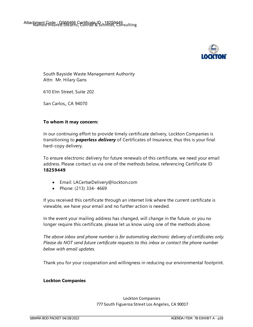

South Bayside Waste Management Authority Attn: Mr. Hilary Gans

610 Elm Street, Suite 202

San Carlos,, CA 94070

#### **To whom it may concern:**

In our continuing effort to provide timely certificate delivery, Lockton Companies is transitioning to *paperless delivery* of Certificates of Insurance, thus this is your final hard-copy delivery.

To ensure electronic delivery for future renewals of this certificate, we need your email address. Please contact us via one of the methods below, referencing Certificate ID **18259449**

- Email: LACertseDelivery@lockton.com
- Phone: (213) 334-4669

If you received this certificate through an internet link where the current certificate is viewable, we have your email and no further action is needed.

In the event your mailing address has changed, will change in the future, or you no longer require this certificate, please let us know using one of the methods above.

*The above inbox and phone number is for automating electronic delivery of certificates only. Please do NOT send future certificate requests to this inbox or contact the phone number below with email updates.*

Thank you for your cooperation and willingness in reducing our environmental footprint.

#### **Lockton Companies**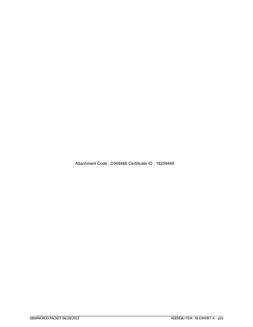Attachment Code : D568466 Certificate ID : 18259449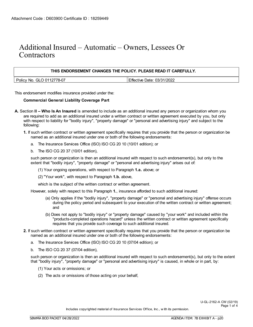## Additional Insured – Automatic – Owners, Lessees Or **Contractors**

| THIS ENDORSEMENT CHANGES THE POLICY. PLEASE READ IT CAREFULLY. |                            |  |  |  |  |
|----------------------------------------------------------------|----------------------------|--|--|--|--|
| Policy No. GLO 0112778-07                                      | Effective Date: 03/31/2022 |  |  |  |  |

This endorsement modifies insurance provided under the:

#### **Commercial General Liability Coverage Part**

- **A.** Section **II Who Is An Insured** is amended to include as an additional insured any person or organization whom you are required to add as an additional insured under a written contract or written agreement executed by you, but only with respect to liability for "bodily injury", "property damage" or "personal and advertising injury" and subject to the following:
	- **1.** If such written contract or written agreement specifically requires that you provide that the person or organization be named as an additional insured under one or both of the following endorsements:
		- a. The Insurance Services Office (ISO) ISO CG 20 10 (10/01 edition); or
		- b. The ISO CG 20 37 (10/01 edition),

such person or organization is then an additional insured with respect to such endorsement(s), but only to the extent that "bodily injury", "property damage" or "personal and advertising injury" arises out of:

- (1) Your ongoing operations, with respect to Paragraph **1.a.** above; or
- (2) "Your work", with respect to Paragraph **1.b.** above,

which is the subject of the written contract or written agreement.

However, solely with respect to this Paragraph **1.**, insurance afforded to such additional insured:

- (a) Only applies if the "bodily injury", "property damage" or "personal and advertising injury" offense occurs during the policy period and subsequent to your execution of the written contract or written agreement; and
- (b) Does not apply to "bodily injury" or "property damage" caused by "your work" and included within the "products-completed operations hazard" unless the written contract or written agreement specifically requires that you provide such coverage to such additional insured.
- **2.** If such written contract or written agreement specifically requires that you provide that the person or organization be named as an additional insured under one or both of the following endorsements:
	- a. The Insurance Services Office (ISO) ISO CG 20 10 (07/04 edition); or
	- b. The ISO CG 20 37 (07/04 edition),

such person or organization is then an additional insured with respect to such endorsement(s), but only to the extent that "bodily injury", "property damage" or "personal and advertising injury" is caused, in whole or in part, by:

- (1) Your acts or omissions; or
- (2) The acts or omissions of those acting on your behalf,

U-GL-2162-A CW (02/19) Page 1 of 4

Includes copyrighted material of Insurance Services Office, Inc., w ith its permission.

\_\_\_\_\_\_\_\_\_\_\_\_\_\_\_\_\_\_\_\_\_\_\_\_\_\_\_\_\_\_\_\_\_\_\_\_\_\_\_\_\_\_\_\_\_\_\_\_\_\_\_\_\_\_\_\_\_\_\_\_\_\_\_\_\_\_\_\_\_\_\_\_\_\_\_\_\_\_\_\_\_\_\_\_\_\_\_\_\_\_\_\_\_\_\_\_\_\_\_\_\_\_\_

\_\_\_\_\_\_\_\_\_\_\_\_\_\_\_\_\_\_\_\_\_\_\_\_\_\_\_\_\_\_\_\_\_\_\_\_\_\_\_\_\_\_\_\_\_\_\_\_\_\_\_\_\_\_\_\_\_\_\_\_\_\_\_\_\_\_\_\_\_\_\_\_\_\_\_\_\_\_\_\_\_\_\_\_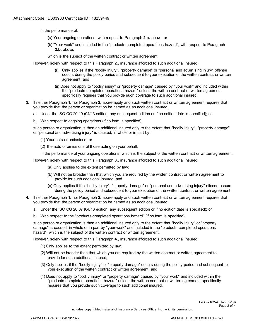in the performance of:

- (a) Your ongoing operations, with respect to Paragraph **2.a.** above; or
- (b) "Your work" and included in the "products-completed operations hazard", with respect to Paragraph **2.b.** above,

which is the subject of the written contract or written agreement.

However, solely with respect to this Paragraph **2.**, insurance afforded to such additional insured:

- (i) Only applies if the "bodily injury", "property damage" or "personal and advertising injury" offense occurs during the policy period and subsequent to your execution of the written contract or written agreement; and
- (ii) Does not apply to "bodily injury" or "property damage" caused by "your work" and included within the "products-completed operations hazard" unless the written contract or written agreement specifically requires that you provide such coverage to such additional insured.
- **3.** If neither Paragraph **1.** nor Paragraph **2.** above apply and such written contract or written agreement requires that you provide that the person or organization be named as an additional insured:
	- a. Under the ISO CG 20 10 (04/13 edition, any subsequent edition or if no edition date is specified); or
	- b. With respect to ongoing operations (if no form is specified),

such person or organization is then an additional insured only to the extent that "bodily injury", "property damage" or "personal and advertising injury" is caused, in whole or in part by:

- (1) Your acts or omissions; or
- (2) The acts or omissions of those acting on your behalf,

in the performance of your ongoing operations, which is the subject of the written contract or written agreement.

However, solely with respect to this Paragraph **3.**, insurance afforded to such additional insured:

- (a) Only applies to the extent permitted by law;
- (b) Will not be broader than that which you are required by the written contract or written agreement to provide for such additional insured; and
- (c) Only applies if the "bodily injury", "property damage" or "personal and advertising injury" offense occurs during the policy period and subsequent to your execution of the written contract or written agreement.
- **4.** If neither Paragraph **1.** nor Paragraph **2.** above apply and such written contract or written agreement requires that you provide that the person or organization be named as an additional insured:
	- a. Under the ISO CG 20 37 (04/13 edition, any subsequent edition or if no edition date is specified); or
	- b. With respect to the "products-completed operations hazard" (if no form is specified),

such person or organization is then an additional insured only to the extent that "bodily injury" or "property damage" is caused, in whole or in part by "your work" and included in the "products-completed operations hazard", which is the subject of the written contract or written agreement.

However, solely with respect to this Paragraph **4.**, insurance afforded to such additional insured:

- (1) Only applies to the extent permitted by law;
- (2) Will not be broader than that which you are required by the written contract or written agreement to provide for such additional insured;
- (3) Only applies if the "bodily injury" or "property damage" occurs during the policy period and subsequent to your execution of the written contract or written agreement; and
- (4) Does not apply to "bodily injury" or "property damage" caused by "your work" and included within the "products-completed operations hazard" unless the written contract or written agreement specifically requires that you provide such coverage to such additional insured.

U-GL-2162-A CW (02/19) Page 2 of 4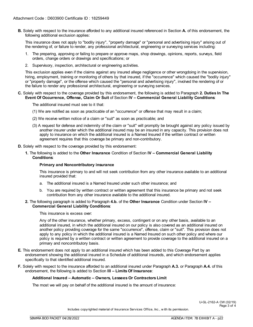**B.** Solely with respect to the insurance afforded to any additional insured referenced in Section **A.** of this endorsement, the following additional exclusion applies:

This insurance does not apply to "bodily injury", "property damage" or "personal and advertising injury" arising out of the rendering of, or failure to render, any professional architectural, engineering or surveying services including:

- 1. The preparing, approving or failing to prepare or approve maps, shop drawings, opinions, reports, surveys, field orders, change orders or drawings and specifications; or
- 2. Supervisory, inspection, architectural or engineering activities.

This exclusion applies even if the claims against any insured allege negligence or other wrongdoing in the supervision, hiring, employment, training or monitoring of others by that insured, if the "occurrence" which caused the "bodily injury" or "property damage", or the offense which caused the "personal and advertising injury", involved the rendering of or the failure to render any professional architectural, engineering or surveying services.

**C.** Solely with respect to the coverage provided by this endorsement, the following is added to Paragraph **2. Duties In The Event Of Occurrence, Offense, Claim Or Suit** of Section **IV – Commercial General Liability Conditions**:

The additional insured must see to it that:

- (1) We are notified as soon as practicable of an "occurrence" or offense that may result in a claim;
- (2) We receive written notice of a claim or "suit" as soon as practicable; and
- (3) A request for defense and indemnity of the claim or "suit" will promptly be brought against any policy issued by another insurer under which the additional insured may be an insured in any capacity. This provision does not apply to insurance on which the additional insured is a Named Insured if the written contract or written agreement requires that this coverage be primary and non-contributory.
- **D.** Solely with respect to the coverage provided by this endorsement:
	- **1.** The following is added to the **Other Insurance** Condition of Section **IV Commercial General Liability Conditions**:

#### **Primary and Noncontributory insurance**

This insurance is primary to and will not seek contribution from any other insurance available to an additional insured provided that:

- a. The additional insured is a Named Insured under such other insurance; and
- b. You are required by written contract or written agreement that this insurance be primary and not seek contribution from any other insurance available to the additional insured.

#### **2.** The following paragraph is added to Paragraph **4.b.** of the **Other Insurance** Condition under Section **IV – Commercial General Liability Conditions**:

This insurance is excess over:

Any of the other insurance, whether primary, excess, contingent or on any other basis, available to an additional insured, in which the additional insured on our policy is also covered as an additional insured on another policy providing coverage for the same "occurrence", offense, claim or "suit". This provision does not apply to any policy in which the additional insured is a Named Insured on such other policy and where our policy is required by a written contract or written agreement to provide coverage to the additional insured on a primary and noncontributory basis.

- **E.** This endorsement does not apply to an additional insured which has been added to this Coverage Part by an endorsement showing the additional insured in a Schedule of additional insureds, and which endorsement applies specifically to that identified additional insured.
- **F.** Solely with respect to the insurance afforded to an additional insured under Paragraph **A.3.** or Paragraph **A.4.** of this endorsement, the following is added to Section **III – Limits Of Insurance**:

#### **Additional Insured – Automatic – Owners, Lessees Or Contractors Limit**

The most we will pay on behalf of the additional insured is the amount of insurance:

U-GL-2162-A CW (02/19) Page 3 of 4

Includes copyrighted material of Insurance Services Office, Inc., w ith its permission.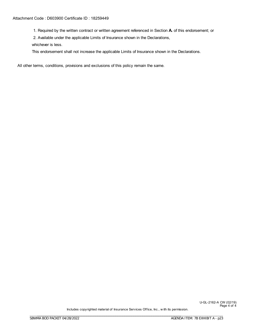#### Attachment Code : D603900 Certificate ID : 18259449

1. Required by the written contract or written agreement referenced in Section **A.** of this endorsement; or

2. Available under the applicable Limits of Insurance shown in the Declarations,

whichever is less.

This endorsement shall not increase the applicable Limits of Insurance shown in the Declarations.

All other terms, conditions, provisions and exclusions of this policy remain the same.

Includes copyrighted material of Insurance Services Office, Inc., w ith its permission.

U-GL-2162-A CW (02/19) Page 4 of 4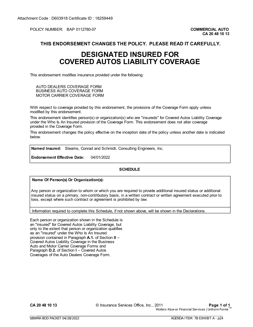POLICY NUMBER: BAP 0112780-07 **COMMERCIAL AUTO** 

#### **THIS ENDORSEMENT CHANGES THE POLICY. PLEASE READ IT CAREFULLY.**

## **DESIGNATED INSURED FOR COVERED AUTOS LIABILITY COVERAGE**

This endorsement modifies insurance provided under the following:

AUTO DEALERS COVERAGE FORM BUSINESS AUTO COVERAGE FORM MOTOR CARRIER COVERAGE FORM

With respect to coverage provided by this endorsement, the provisions of the Coverage Form apply unless modified by this endorsement.

This endorsement identifies person(s) or organization(s) who are "insureds" for Covered Autos Liability Coverage under the Who Is An Insured provision of the Coverage Form. This endorsement does not alter coverage provided in the Coverage Form.

This endorsement changes the policy effective on the inception date of the policy unless another date is indicated below.

**Named Insured:** Stearns, Conrad and Schmidt, Consulting Engineers, Inc.

**Endorsement Effective Date:** 04/01/2022

#### **SCHEDULE**

**Name Of Person(s) Or Organization(s):** 

Any person or organization to whom or which you are required to provide additional insured status or additional insured status on a primary, non-contributory basis, in a written contract or written agreement executed prior to loss, except where such contract or agreement is prohibited by law.

Information required to complete this Schedule, if not shown above, will be shown in the Declarations.

\_\_\_\_\_\_\_\_\_\_\_\_\_\_\_\_\_\_\_\_\_\_\_\_\_\_\_\_\_\_\_\_\_\_\_\_\_\_\_\_\_\_\_\_\_\_\_\_\_\_\_\_\_\_\_\_\_\_\_\_\_\_\_\_\_\_\_\_\_\_\_\_\_\_\_\_\_\_\_\_\_\_\_\_

\_\_\_\_\_\_\_\_\_\_\_\_\_\_\_\_\_\_\_\_\_\_\_\_\_\_\_\_\_\_\_\_\_\_\_\_\_\_\_\_\_\_\_\_\_\_\_\_\_\_\_\_\_\_\_\_\_\_\_\_\_\_\_\_\_\_\_\_\_\_\_\_\_\_\_\_\_\_\_\_\_\_\_\_\_\_\_\_\_\_\_\_\_\_\_\_\_\_\_\_\_\_\_

Each person or organization shown in the Schedule is an "insured" for Covered Autos Liability Coverage, but only to the extent that person or organization qualifies as an "insured" under the Who Is An Insured provision contained in Paragraph **A.1.** of Section **II** – Covered Autos Liability Coverage in the Business Auto and Motor Carrier Coverage Forms and Paragraph **D.2.** of Section **I** – Covered Autos Coverages of the Auto Dealers Coverage Form.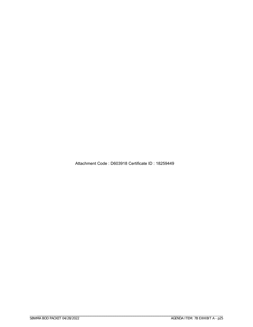Attachment Code : D603918 Certificate ID : 18259449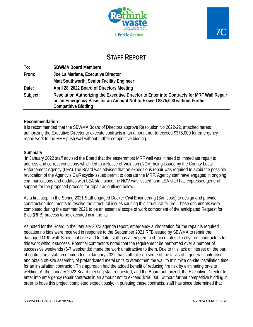

## **STAFF REPORT**

| To:      | <b>SBWMA Board Members</b>                                                                                                                                                                             |
|----------|--------------------------------------------------------------------------------------------------------------------------------------------------------------------------------------------------------|
| From:    | Joe La Mariana, Executive Director                                                                                                                                                                     |
|          | Matt Southworth, Senior Facility Engineer                                                                                                                                                              |
| Date:    | April 28, 2022 Board of Directors Meeting                                                                                                                                                              |
| Subject: | Resolution Authorizing the Executive Director to Enter into Contracts for MRF Wall Repair<br>on an Emergency Basis for an Amount Not-to-Exceed \$375,000 without Further<br><b>Competitive Bidding</b> |

#### **Recommendation**

It is recommended that the SBWMA Board of Directors approve Resolution No 2022-22, attached hereto, authorizing the Executive Director to execute contracts in an amount not-to-exceed \$375,000 for emergency repair work to the MRF push wall without further competitive bidding.

#### **Summary**

In January 2022 staff advised the Board that the easternmost MRF wall was in need of immediate repair to address and correct conditions which led to a Notice of Violation (NOV) being issued by the County Local Enforcement Agency (LEA).The Board was advised that an expeditious repair was required to avoid the possible revocation of the Agency's CalRecycle-issued permit to operate the MRF. Agency staff have engaged in ongoing communications and updates with LEA staff since the NOV was issued, and LEA staff has expressed general support for the proposed process for repair as outlined below.

As a first step, in the Spring 2021 Staff engaged Decker Civil Engineering (San Jose) to design and provide construction documents to resolve the structural issues causing this structural failure. These documents were completed during the summer 2021 to be an essential scope of work component of the anticipated Request for Bids (RFB) process to be executed in in the fall.

As noted for the Board in the January 2022 agenda report, emergency authorization for the repair is required because no bids were received in response to the September 2021 RFB issued by SBWMA to repair the damaged MRF wall. Since that time and to date, staff has attempted to obtain quotes directly from contractors for this work without success. Potential contractors noted that the requirement be performed over a number of successive weekends (6-7 weekends) made the work unattractive to them. Due to this lack of interest on the part of contractors, staff recommended in January 2022 that staff take on some of the tasks of a general contractor and obtain off-site assembly of prefabricated metal units to strengthen the wall to minimize on-site installation time for an installation contractor. This approach had the added benefit of reducing fire risk by eliminating on-site welding. At the January 2022 Board meeting staff requested, and the Board authorized, the Executive Director to enter into emergency repair contracts in an amount not to exceed \$250,000, without further competitive bidding in order to have this project completed expeditiously. In pursuing these contracts, staff has since determined that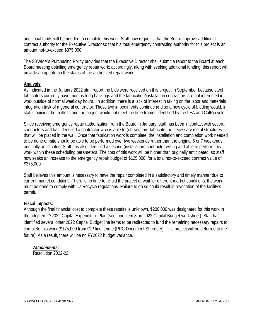additional funds will be needed to complete this work. Staff now requests that the Board approve additional contract authority for the Executive Director so that his total emergency contracting authority for this project is an amount not-to-exceed \$375,000.

The SBWMA's Purchasing Policy provides that the Executive Director shall submit a report to the Board at each Board meeting detailing emergency repair work; accordingly, along with seeking additional funding, this report will provide an update on the status of the authorized repair work.

#### **Analysis**

As indicated in the January 2022 staff report, no bids were received on this project in September because steel fabricators currently have months-long backlogs and the fabrication/installation contractors are not interested in work outside of normal weekday hours. In addition, there is a lack of interest in taking on the labor and materials integration task of a general contractor. These two impediments continue and so a new cycle of bidding would, in staff's opinion, be fruitless and the project would not meet the time frames identified by the LEA and CalRecycle.

Since receiving emergency repair authorization from the Board in January, staff has been in contact with several contractors and has identified a contractor who is able to (off-site) pre-fabricate the necessary metal structures that will be placed in the wall. Once that fabrication work is complete, the installation and completion work needed to be done on-site should be able to be performed over two weekends rather than the original 6 or 7 weekends originally anticipated. Staff has also identified a second (installation) contractor willing and able to perform this work within these scheduling parameters. The cost of this work will be higher than originally anticipated, so staff now seeks an increase to the emergency repair budget of \$125,000, for a total not-to-exceed contract value of \$375,000.

Staff believes this amount is necessary to have the repair completed in a satisfactory and timely manner due to current market conditions. There is no time to re-bid the project or wait for different market conditions, the work must be done to comply with CalRecycle regulations. Failure to do so could result in revocation of the facility's permit.

#### **Fiscal Impacts:**

Although the final financial cost to complete these repairs is unknown, \$200,000 was designated for this work in the adopted FY2022 Capital Expenditure Plan (see Line item 8 on 2022 Capital Budget worksheet). Staff has identified several other 2022 Capital Budget line items to be redirected to fund the remaining necessary repairs to complete this work (\$175,000 from CIP line item 9 (PRC Document Shredder). This project will be deferred to the future). As a result, there will be no FY2022 budget variance.

#### *Attachments:*

Resolution 2022-22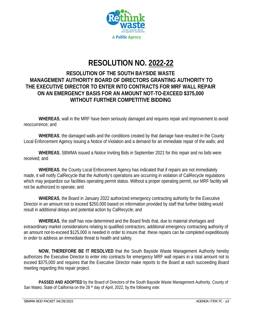![](_page_52_Picture_0.jpeg)

# **RESOLUTION NO. 2022-22**

## **RESOLUTION OF THE SOUTH BAYSIDE WASTE MANAGEMENT AUTHORITY BOARD OF DIRECTORS GRANTING AUTHORITY TO THE EXECUTIVE DIRECTOR TO ENTER INTO CONTRACTS FOR MRF WALL REPAIR ON AN EMERGENCY BASIS FOR AN AMOUNT NOT-TO-EXCEED \$375,000 WITHOUT FURTHER COMPETITIVE BIDDING**

**WHEREAS**, wall in the MRF have been seriously damaged and requires repair and improvement to avoid reoccurrence; and

**WHEREAS**, the damaged walls and the conditions created by that damage have resulted in the County Local Enforcement Agency issuing a Notice of Violation and a demand for an immediate repair of the walls; and

**WHEREAS**, SBWMA issued a Notice Inviting Bids in September 2021 for this repair and no bids were received; and

**WHEREAS**, the County Local Enforcement Agency has indicated that if repairs are not immediately made, it will notify CalRecycle that the Authority's operations are occurring in violation of CalRecycle regulations which may jeopardize our facilities operating permit status. Without a proper operating permit, our MRF facility will not be authorized to operate; and

**WHEREAS**, the Board in January 2022 authorized emergency contracting authority for the Executive Director in an amount not to exceed \$250,000 based on information provided by staff that further bidding would result in additional delays and potential action by CalRecycle; and

**WHEREAS**, the staff has now determined and the Board finds that, due to material shortages and extraordinary market considerations relating to qualified contractors, additional emergency contracting authority of an amount not-to-exceed \$125,000 is needed in order to insure that these repairs can be completed expeditiously in order to address an immediate threat to health and safety.

**NOW, THEREFORE BE IT RESOLVED** that the South Bayside Waste Management Authority hereby authorizes the Executive Director to enter into contracts for emergency MRF wall repairs in a total amount not to exceed \$375,000 and requires that the Executive Director make reports to the Board at each succeeding Board meeting regarding this repair project.

**PASSED AND ADOPTED** by the Board of Directors of the South Bayside Waste Management Authority, County of San Mateo, State of California on the 28<sup>th</sup> day of April, 2022, by the following vote: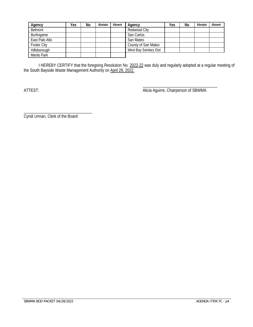| Agency             | Yes | No | Abstain | Absent | Agency                 | Yes | No | Abstain | Absent |
|--------------------|-----|----|---------|--------|------------------------|-----|----|---------|--------|
| Belmont            |     |    |         |        | Redwood City           |     |    |         |        |
| Burlingame         |     |    |         |        | San Carlos             |     |    |         |        |
| East Palo Alto     |     |    |         |        | San Mateo              |     |    |         |        |
| <b>Foster City</b> |     |    |         |        | County of San Mateo    |     |    |         |        |
| Hillsborough       |     |    |         |        | West Bay Sanitary Dist |     |    |         |        |
| Menlo Park         |     |    |         |        |                        |     |    |         |        |

I HEREBY CERTIFY that the foregoing Resolution No. 2022-22 was duly and regularly adopted at a regular meeting of the South Bayside Waste Management Authority on April 28, 2022.

\_\_\_\_\_\_\_\_\_\_\_\_\_\_\_\_\_\_\_\_\_\_\_\_\_\_\_\_\_\_\_\_\_\_\_\_ ATTEST: And the Contract of Superintent Chair Alicia Aguirre, Chairperson of SBWMA

\_\_\_\_\_\_\_\_\_\_\_\_\_\_\_\_\_\_\_\_\_\_\_\_\_\_\_\_\_\_\_\_\_ Cyndi Urman, Clerk of the Board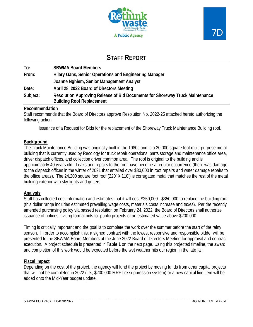![](_page_54_Picture_0.jpeg)

![](_page_54_Picture_1.jpeg)

## **STAFF REPORT**

| To:      | <b>SBWMA Board Members</b>                                                                                       |  |  |  |  |  |
|----------|------------------------------------------------------------------------------------------------------------------|--|--|--|--|--|
| From:    | Hilary Gans, Senior Operations and Engineering Manager                                                           |  |  |  |  |  |
|          | Joanne Nghiem, Senior Management Analyst                                                                         |  |  |  |  |  |
| Date:    | April 28, 2022 Board of Directors Meeting                                                                        |  |  |  |  |  |
| Subject: | Resolution Approving Release of Bid Documents for Shoreway Truck Maintenance<br><b>Building Roof Replacement</b> |  |  |  |  |  |

#### **Recommendation**

Staff recommends that the Board of Directors approve Resolution No. 2022-25 attached hereto authorizing the following action:

Issuance of a Request for Bids for the replacement of the Shoreway Truck Maintenance Building roof.

#### **Background**

The Truck Maintenance Building was originally built in the 1980s and is a 20,000 square foot multi-purpose metal building that is currently used by Recology for truck repair operations, parts storage and maintenance office area, driver dispatch offices, and collection driver common area. The roof is original to the building and is approximately 40 years old. Leaks and repairs to the roof have become a regular occurrence (there was damage to the dispatch offices in the winter of 2021 that entailed over \$30,000 in roof repairs and water damage repairs to the office areas). The 24,200 square foot roof (220' X 110') is corrugated metal that matches the rest of the metal building exterior with sky-lights and gutters.

#### **Analysis**

Staff has collected cost information and estimates that it will cost \$250,000 - \$350,000 to replace the building roof (this dollar range includes estimated prevailing wage costs, materials costs increase and taxes). Per the recently amended purchasing policy via passed resolution on February 24, 2022, the Board of Directors shall authorize issuance of notices inviting formal bids for public projects of an estimated value above \$200,000.

Timing is critically important and the goal is to complete the work over the summer before the start of the rainy season. In order to accomplish this, a signed contract with the lowest responsive and responsible bidder will be presented to the SBWMA Board Members at the June 2022 Board of Directors Meeting for approval and contract execution. A project schedule is presented in **Table 1** on the next page. Using this projected timeline, the award and completion of this work would be expected before the wet weather hits our region in the late fall.

#### **Fiscal Impact**

Depending on the cost of the project, the agency will fund the project by moving funds from other capital projects that will not be completed in 2022 (i.e., \$200,000 MRF fire suppression system) or a new capital line item will be added onto the Mid-Year budget update.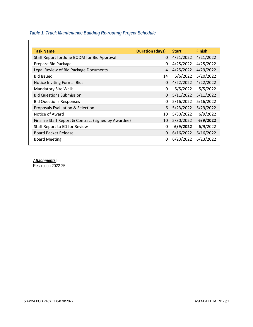## *Table 1. Truck Maintenance Building Re-roofing Project Schedule*

| <b>Duration (days)</b> | <b>Start</b> | <b>Finish</b> |
|------------------------|--------------|---------------|
| 0                      | 4/21/2022    | 4/21/2022     |
| 0                      | 4/25/2022    | 4/25/2022     |
| 4                      | 4/25/2022    | 4/29/2022     |
| 14                     | 5/6/2022     | 5/20/2022     |
| 0                      | 4/22/2022    | 4/22/2022     |
| 0                      | 5/5/2022     | 5/5/2022      |
| 0                      | 5/11/2022    | 5/11/2022     |
| 0                      | 5/16/2022    | 5/16/2022     |
| 6                      | 5/23/2022    | 5/29/2022     |
| 10                     | 5/30/2022    | 6/9/2022      |
| 10                     | 5/30/2022    | 6/9/2022      |
| 0                      | 6/9/2022     | 6/9/2022      |
| 0                      | 6/16/2022    | 6/16/2022     |
| 0                      | 6/23/2022    | 6/23/2022     |
|                        |              |               |

*Attachments:*  Resolution 2022-25